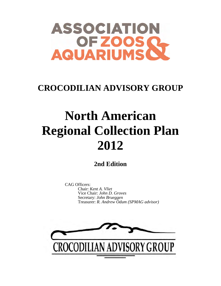

# **CROCODILIAN ADVISORY GROUP**

# **North American Regional Collection Plan 2012**

**2nd Edition**

CAG Officers: Chair: *Kent A. Vliet* Vice Chair: *John D. Groves* Secretary: *John Brueggen* Treasurer: *R. Andrew Odum (SPMAG advisor)*

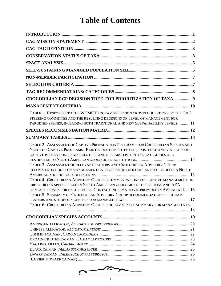# **Table of Contents**

| CROCODILIAN RCP DECISION TREE FOR PRIORITIZATION OF TAXA 9                                                                                                                                                                                                                                                                                                                                                    |  |
|---------------------------------------------------------------------------------------------------------------------------------------------------------------------------------------------------------------------------------------------------------------------------------------------------------------------------------------------------------------------------------------------------------------|--|
|                                                                                                                                                                                                                                                                                                                                                                                                               |  |
| TABLE 1. RESPONSES TO THE WCMC PROGRAM SELECTION CRITERIA QUESTIONS BY THE CAG<br>STEERING COMMITTEE AND THE RESULTING DECISIONS ON LEVEL OF MANAGEMENT FOR<br>TARGETED SPECIES, INCLUDING BOTH TRADITIONAL AND NEW SUSTAINABILITY LEVELS 11                                                                                                                                                                  |  |
|                                                                                                                                                                                                                                                                                                                                                                                                               |  |
|                                                                                                                                                                                                                                                                                                                                                                                                               |  |
| TABLE 2. ASSESSMENT OF CAPTIVE PROPAGATION PROGRAMS FOR CROCODILIAN SPECIES AND<br>NEED FOR CAPTIVE PROGRAMS. REINTRODUCTION POTENTIAL, EXISTENCE AND VIABILITY OF<br>CAPTIVE POPULATIONS, AND SCIENTIFIC AND RESEARCH POTENTIAL CATEGORIES ARE<br>TABLE 3. ASSESSMENT OF RELEVANT FACTORS AND CROCODILIAN ADVISORY GROUP<br>RECOMMENDATIONS FOR MANAGEMENT CATEGORIES OF CROCODILIAN SPECIES HELD IN NORTH   |  |
| TABLE 4. CROCODILIAN ADVISORY GROUP RECOMMENDATIONS FOR CAPTIVE MANAGEMENT OF<br>CROCODILIAN SPECIES HELD IN NORTH AMERICAN ZOOLOGICAL COLLECTIONS AND AZA<br>CONTACT PERSON FOR EACH SPECIES. CONTACT INFORMATION IS PROVIDED IN APPENDIX II.  16<br>TABLE 5. SUMMARY OF CROCODILIAN ADVISORY GROUP RECOMMENDATIONS, PROGRAM<br>TABLE 6. CROCODILIAN ADVISORY GROUP PROGRAM STATUS SUMMARY FOR MANAGED TAXA. |  |
|                                                                                                                                                                                                                                                                                                                                                                                                               |  |
|                                                                                                                                                                                                                                                                                                                                                                                                               |  |
|                                                                                                                                                                                                                                                                                                                                                                                                               |  |

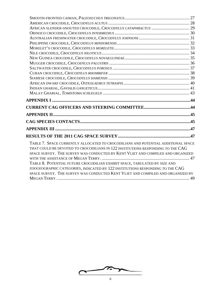| TABLE 7. SPACE CURRENTLY ALLOCATED TO CROCODILIANS AND POTENTIAL ADDITIONAL SPACE<br>THAT COULD BE DEVOTED TO CROCODILIANS IN 122 INSTITUTIONS RESPONDING TO THE CAG<br>SPACE SURVEY. THE SURVEY WAS CONDUCTED BY KENT VLIET AND COMPILED AND ORGANIZED<br>TABLE 8. POTENTIAL FUTURE CROCODILIAN EXHIBIT SPACE, TABULATED BY SIZE AND<br>ZOOGEOGRAPHIC CATEGORIES, INDICATED BY 122 INSTITUTIONS RESPONDING TO THE CAG<br>SPACE SURVEY. THE SURVEY WAS CONDUCTED KENT VLIET AND COMPILED AND ORGANIZED BY |  |
|-----------------------------------------------------------------------------------------------------------------------------------------------------------------------------------------------------------------------------------------------------------------------------------------------------------------------------------------------------------------------------------------------------------------------------------------------------------------------------------------------------------|--|
|                                                                                                                                                                                                                                                                                                                                                                                                                                                                                                           |  |

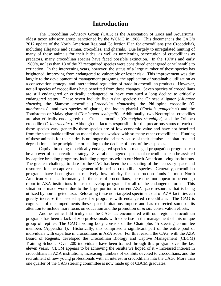## **Introduction**

The Crocodilian Advisory Group (CAG) is the Association of Zoos and Aquariums' oldest taxon advisory group, sanctioned by the WCMC in 1986. This document is the CAG's 2012 update of the North American Regional Collection Plan for crocodilians (the Crocodylia), including alligators and caiman, crocodiles, and gharials. Due largely to unregulated hunting of many of these animals for their hides, as well as unrelenting persecution of crocodilians as predators, many crocodilian species have faced possible extinction. In the 1970's and early 1980's, no less than 18 of the 23 recognized species were considered endangered or vulnerable to extinction. In the intervening years, however, the status of a large number of these species has brightened, improving from endangered to vulnerable or lesser risk. This improvement was due largely to the development of management programs, the application of sustainable utilization as a conservation strategy, and international regulation of trade in crocodilian products. However, not all species of crocodilians have benefited from these changes. Seven species of crocodilians are still endangered or critically endangered or have continued a long decline to critically endangered status. These seven include five Asian species: the Chinese alligator (*Alligator sinensis*), the Siamese crocodile (*Crocodylus siamensis*), the Philippine crocodile (*C. mindorensis*), and two species of gharial, the Indian gharial (*Gavialis gangeticus*) and the Tomistoma or Malay gharial (*Tomistoma schlegelii*). Additionally, two Neotropical crocodiles are also critically endangered: the Cuban crocodile (*Crocodylus rhombifer*), and the Orinoco crocodile (*C. intermedius*). Although the factors responsible for the precarious status of each of these species vary, generally these species are of low economic value and have not benefited from the sustainable utilization model that has worked with so many other crocodilians. Hunting of these animals for their hides is no longer the primary cause of their demise – habitat loss and degradation is the principle factor leading to the decline of most of these species.

Captive breeding of critically endangered species in managed propagation programs can be a powerful conservation strategy. Several endangered species of crocodilians can be assisted by captive breeding programs, including programs within our North American living institutions. The greatest challenge to date for the CAG has been the marshaling of the necessary space and resources for the captive management of imperiled crocodilian species. Generally, crocodilian programs have been given a relatively low priority for construction funds in most North American zoos. Unfortunately, in the case of crocodilians, there does not appear to be enough room in AZA institutions for us to develop programs for all of the endangered forms. This situation is made worse due to the large portion of current AZA space resources that is being utilized by non-targeted taxa. Relocating these non-targeted specimens out of AZA facilities can greatly increase the needed space for programs with endangered crocodilians. The CAG is cognizant of the impediments these space limitations impose and has redirected some of its attention to include more focus on education and the promotion of *in situ* conservation efforts.

Another critical difficulty that the CAG has encountered with our regional crocodilian programs has been a lack of zoo professionals with expertise in the management of this unique group of reptiles. The CAG's voting body consists of the Chair plus 15 steering committee members (Appendix 1). Historically, this comprised a significant part of the entire pool of individuals with expertise in crocodilians in AZA zoos. For this reason, the CAG, with the AZA Board of Regents, developed the Crocodilian Biology and Captive Management (CBCM) Training School. Over 200 individuals have been trained through this program over the last eleven years. CBCM appears to be achieving the results we hoped of it – increased interest in crocodilians in AZA institutions, increasing numbers of exhibits devoted to crocodilians, and the recruitment of new young professionals with an interest in crocodilians into the CAG. More than one quarter of the CAG steering committee is now made up of CBCM graduates.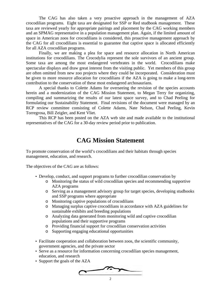The CAG has also taken a very proactive approach in the management of AZA crocodilian programs. Eight taxa are designated for SSP or Red studbook management. These taxa are reviewed yearly for appropriate pairings and placement by the CAG working members and an SPMAG representative in a population management plan. Again, if the limited amount of space in American zoos for crocodilians is considered, this proactive management approach by the CAG for all crocodilians is essential to guarantee that captive space is allocated efficiently for all AZA crocodilian programs.

Finally, we are making a plea for space and resource allocation in North American institutions for crocodilians. The Crocodylia represent the sole survivors of an ancient group. Some taxa are among the most endangered vertebrates in the world. Crocodilians make spectacular displays and draw great interest from the visiting public. Yet members of this group are often omitted from new zoo projects where they could be incorporated. Consideration must be given to more resource allocation for crocodilians if the AZA is going to make a long-term contribution to the conservation of these most endangered archosaurians.

A special thanks to Colette Adams for overseeing the revision of the species accounts herein and a modernization of the CAG Mission Statement, to Megan Terry for organizing, compiling and summarizing the results of our latest space survey, and to Chad Peeling for formulating our Sustainability Statement. Final revisions of the document were managed by an RCP review committee consisting of Colette Adams, Nate Nelson, Chad Peeling, Kevin Torregrosa, Bill Zeigler, and Kent Vliet.

This RCP has been posted on the AZA web site and made available to the institutional representatives of the CAG for a 30-day review period prior to publication.

# **CAG Mission Statement**

To promote conservation of the world's crocodilians and their habitats through species management, education, and research.

The objectives of the CAG are as follows:

- Develop, conduct, and support programs to further crocodilian conservation by
	- o Monitoring the status of wild crocodilian species and recommending supportive AZA programs
	- o Serving as a management advisory group for target species, developing studbooks and SSP programs where appropriate
	- o Monitoring captive populations of crocodilians
	- o Managing surplus captive crocodilians in accordance with AZA guidelines for sustainable exhibits and breeding populations
	- o Analyzing data generated from monitoring wild and captive crocodilian populations and their supportive programs
	- o Providing financial support for crocodilian conservation activities
	- o Supporting engaging educational opportunities
- Facilitate cooperation and collaboration between zoos, the scientific community, government agencies, and the private sector
- Serve as a resource for information concerning crocodilian species management, education, and research
- Support the goals of the AZA

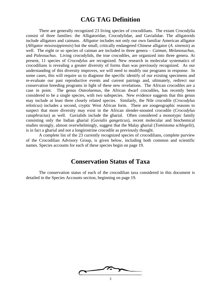# **CAG TAG Definition**

There are generally recognized 23 living species of crocodilians. The extant Crocodylia consist of three families: the Alligatoridae, Crocodylidae, and Gavialidae. The alligatorids include alligators and caimans. *Alligator* includes not only our own familiar American alligator (*Alligator mississippiensis*) but the small, critically endangered Chinese alligator (*A. sinensis*) as well. The eight or so species of caiman are included in three genera – *Caiman*, *Melanosuchus*, and *Paleosuchus*. Living crocodylids, the true crocodiles, are organized into three genera. At present, 11 species of *Crocodylus* are recognized. New research in molecular systematics of crocodilians is revealing a greater diversity of forms than was previously recognized. As our understanding of this diversity improves, we will need to modify our programs in response. In some cases, this will require us to diagnose the specific identify of our existing specimens and re-evaluate our past reproductive events and current pairings and, ultimately, redirect our conservation breeding programs in light of these new revelations. The African crocodiles are a case in point. The genus *Osteolaemu*s, the African dwarf crocodiles, has recently been considered to be a single species, with two subspecies. New evidence suggests that this genus may include at least three closely related species. Similarly, the Nile crocodile (*Crocodylus niloticus*) includes a second, cryptic West African form. There are zoogeographic reasons to suspect that more diversity may exist in the African slender-snouted crocodile (*Crocodylus cataphractus*) as well. Gavialids include the gharial. Often considered a monotypic family consisting only the Indian gharial (*Gavialis gangeticus*), recent molecular and biochemical studies strongly, almost overwhelmingly, suggest that the Malay gharial (*Tomistoma schlegelii*), is in fact a gharial and not a longirostrine crocodile as previously thought.

A complete list of the 23 currently recognized species of crocodilians, complete purview of the Crocodilian Advisory Group, is given below, including both common and scientific names. Species accounts for each of these species begin on page 19.

# **Conservation Status of Taxa**

The conservation status of each of the crocodilian taxa considered in this document is detailed in the Species Accounts section, beginning on page 19.

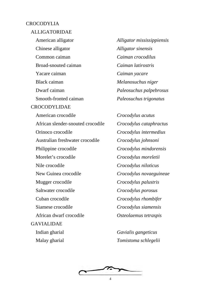#### CROCODYLIA

#### ALLIGATORIDAE

American alligator *Alligator mississippiensis* Chinese alligator *Alligator sinensis* Common caiman *Caiman crocodilus* Broad-snouted caiman *Caiman latirostris* Yacare caiman *Caiman yacare* Black caiman *Melanosuchus niger* Dwarf caiman *Paleosuchus palpebrosus* Smooth-fronted caiman *Paleosuchus trigonatus* CROCODYLIDAE American crocodile *Crocodylus acutus* African slender-snouted crocodile *Crocodylus cataphractus* Orinoco crocodile *Crocodylus intermedius* Australian freshwater crocodile *Crocodylus johnsoni* Philippine crocodile *Crocodylus mindorensis* Morelet's crocodile *Crocodylus moreletii* Nile crocodile *Crocodylus niloticus* New Guinea crocodile *Crocodylus novaeguineae* Mugger crocodile *Crocodylus palustris* Saltwater crocodile *Crocodylus porosus* Cuban crocodile *Crocodylus rhombifer* Siamese crocodile *Crocodylus siamensis* African dwarf crocodile *Osteolaemus tetraspis* GAVIALIDAE Indian gharial *Gavialis gangeticus*

Malay gharial *Tomistoma schlegelii*

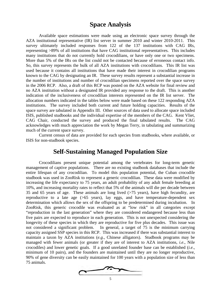# **Space Analysis**

Available space estimations were made using an electronic space survey through the AZA institutional representative (IR) list server in summer 2010 and winter 2010-2011. This survey ultimately included responses from 122 of the 137 institutions with CAG IRs, representing >89% of all institutions that have CAG institutional representatives. This includes many institutions that do not currently hold crocodilians, or have only one or two specimens. More than 5% of the IRs on the list could not be contacted because of erroneous contact info. So, this survey represents the bulk of all AZA institutions with crocodilians. This IR list was used because it contains all institutions that have made their interest in crocodilian programs known to the CAG by designating an IR. These survey results represent a substantial increase in the number of institutions and number of crocodilian specimens reported over the space survey in the 2006 RCP. Also, a draft of this RCP was posted on the AZA website for final review and no AZA institution without a designated IR provided any response to the draft. This is another indication of the inclusiveness of crocodilian interests represented on the IR list server. The allocation numbers indicated in the tables below were made based on these 122 responding AZA institutions. The survey included both current and future holding capacities. Results of the space survey are tabulated in Appendix III. Other sources of data used to allocate space included ISIS, published studbooks and the individual expertise of the members of the CAG. Kent Vliet, CAG Chair, conducted the survey and produced the final tabulated results. The CAG acknowledges with much appreciation the work by Megan Terry, in tabulating and summarizing much of the current space survey.

Current census of data are provided for each species from studbooks, where available, or ISIS for non-studbook species.

# **Self-Sustaining Managed Population Size**

Crocodilians present unique potential among the vertebrates for long-term genetic management of captive populations. There are no existing studbook databases that include the entire lifespan of any crocodilian. To model this population potential, the Cuban crocodile studbook was used in ZooRisk to represent a generic crocodilian. These data were modified by increasing the life expectancy to 75 years, an adult probability of any adult female breeding at 10%, and increasing mortality rates to reflect that 5% of the animals will die per decade between 35 and 65 years of age. These animals are long lived (>75 years), have high fecundity, are reproductive to a late age  $(565 \text{ years})$ , lay eggs, and have temperature-dependent sex determination which allows the sex of the offspring to be predetermined during incubation. In ZooRisk, this generic crocodile was evaluated as at "low risk" in all categories except "reproduction in the last generation" where they are considered endangered because less than five pairs are expected to reproduce in each generation. This is not unexpected considering the longevity of these species in which they are reproductive for five plus decades. This issue was not considered a significant problem. In general, a target of 75 is the minimum carrying capacity assigned SSP species in this RCP. This was increased if there was substantial interest to maintain a taxon by AZA institutions (*e.g*., Chinese alligators). Studbook programs may be managed with fewer animals (or greater if they are of interest to AZA institutions, *i.e*., Nile crocodiles) and lower genetic goals. If a good unrelated founder base can be established (*i.e*., minimum of 10 pairs), and the founders are maintained until they are no longer reproductive, 90% of gene diversity can be easily maintained for 100 years with a population size of less than 75 animals.

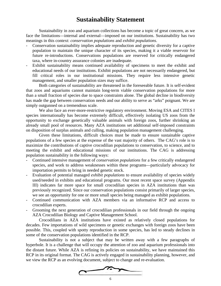# **Sustainability Statement**

Sustainability in zoo and aquarium collections has become a topic of great concern, as we face the limitations—internal and external—imposed on our institutions. Sustainability has two meanings in this context: *conservation populations* and *exhibit populations*.

- Conservation sustainability implies adequate reproduction and genetic diversity for a captive population to maintain the unique character of its species, making it a viable reservoir for future re-introductions. Conservations populations are reserved for critically endangered taxa, where in-country assurance colonies are inadequate.
- Exhibit sustainability means continued availability of specimens to meet the exhibit and educational needs of our institutions. Exhibit populations are not necessarily endangered, but fill critical roles in our institutional missions. They require less intensive genetic management, and smaller population sizes may suffice.

Both categories of sustainability are threatened in the foreseeable future. It is self-evident that zoos and aquariums cannot maintain long-term viable conservation populations for more than a small fraction of species due to space constraints alone. The global decline in biodiversity has made the gap between conservation needs and our ability to serve as "arks" poignant. We are simply outgunned on a tremendous scale.

We also face an ever-more-restrictive regulatory environment. Moving ESA and CITES I species internationally has become extremely difficult, effectively isolating US zoos from the opportunity to exchange genetically valuable animals with foreign zoos, further shrinking an already small pool of resources. Many AZA institutions set additional self-imposed constraints on disposition of surplus animals and culling, making population management challenging.

Given these limitations, difficult choices must be made to ensure sustainable captive populations of a few species at the expense of the vast majority of others. The CAG's role is to maximize the contributions of captive crocodilian populations to conservation, to science, and to meeting the exhibit and educational missions of our institutions. The CAG is addressing population sustainability in the following ways:

- Continued intensive management of *conservation populations* for a few critically endangered species, and work to address weaknesses within these programs—particularly advocacy for importation permits to bring in needed genetic stock.
- Evaluation of potential managed *exhibit populations* to ensure availability of species widely used/needed in exhibits and educational programs. Our most recent space survey (Appendix III) indicates far more space for small crocodilian species in AZA institutions than was previously recognized. Since our conservation populations consist primarily of larger species, we see an opportunity for one or more small species being managed as exhibit populations.
- Continued communication with AZA members via an informative RCP and access to crocodilian experts.
- Grooming the next generation of crocodilian professionals in our field through the ongoing AZA Crocodilian Biology and Captive Management School.

Crocodilians in AZA institutions have existed as relatively closed populations for decades. Few importations of wild specimens or genetic exchanges with foreign zoos have been possible. This, coupled with spotty reproduction in some species, has led to steady declines in some of the conservation populations identified in the RCP.

Sustainability is not a subject that may be written away with a few paragraphs of hyperbole. It is a challenge that will occupy the attention of zoo and aquarium professionals into the distant future. While AZA is refining its policies on sustainability, we have maintained this RCP in its original format. The CAG is actively engaged in sustainability planning, however, and we view the RCP as an evolving document, subject to change and re-evaluation.

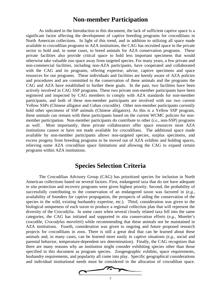## **Non-member Participation**

As indicated in the Introduction to this document, the lack of sufficient captive space is a significant factor affecting the development of captive breeding programs for crocodilians in North American collections. In light of this trend, and in addition to utilizing all space made available to crocodilian programs in AZA institutions, the CAG has recruited space in the private sector to hold and, in some cases, to breed animals for AZA conservation programs. These private facilities also provide critical space to hold less important specimens that would otherwise take valuable zoo space away from targeted species. For many years, a few private and non-commercial facilities, including non-AZA participants, have cooperated and collaborated with the CAG and its programs, offering expertise, advise, captive specimens and space resources for our programs. These individuals and facilities are keenly aware of AZA policies and procedures and are committed to the conservation of these animals and the programs the CAG and AZA have established to further these goals. In the past, two facilities have been actively involved in CAG SSP programs. These two private non-member participants have been registered and inspected by CAG members to comply with AZA standards for non-member participants, and both of these non-member participants are involved with our two current Yellow SSPs (Chinese alligator and Cuban crocodile). Other non-member participants currently hold other specimens of SSP animals (Chinese alligators). As this is a Yellow SSP program, these animals can remain with these participants based on the current WCMC policies for nonmember participation. Non-member participants do contribute to other (*i.e.,* non-SSP) programs as well. Most importantly, these private collaborators offer space resources most AZA institutions cannot or have not made available for crocodilians. The additional space made available by non-member participants allows non-targeted species, surplus specimens, and excess progeny from breeding programs to be moved out of AZA exhibits and holding spaces, relieving some AZA crocodilian space limitations and allowing the CAG to expand certain programs within AZA institutions.

# **Species Selection Criteria**

The Crocodilian Advisory Group (CAG) has prioritized species for inclusion in North American collections based on several factors. First, endangered taxa that do not have adequate *in situ* protection and recovery programs were given highest priority. Second, the probability of successfully contributing to the conservation of an endangered taxon was factored in (*e.g.,* availability of founders for captive propagation, the prospects of aiding the conservation of the species in the wild, existing husbandry expertise, etc.). Third, consideration was given to the biological uniqueness of each taxon to produce a regional collection plan that will represent the diversity of the Crocodylia. In some cases when several closely related taxa fell into the same categories, the CAG has initiated and supported *in situ* conservation efforts (*e.g*., Morelet's crocodile, *Crocodylus moreletii*) while recommending that these animals not be maintained in AZA institutions. Fourth, consideration was given to ongoing and future proposed research projects for crocodilians in zoos. There is still a great deal that can be learned about these animals and, in many cases, can be learned more easily in captive situations (*e.g*., social and parental behavior, temperature-dependent sex determination). Finally, the CAG recognizes that there are many reasons why an institution might consider exhibiting species other than those specified in this document as program species. Zoogeographic exhibits, space requirements, husbandry requirements, and popularity all come into play. Specific geographical considerations and individual institutional needs must be considered in the allocation of crocodilian space.

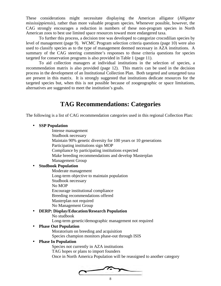These considerations might necessitate displaying the American alligator (*Alligator mississippiensis*), rather than more valuable program species. Whenever possible, however, the CAG strongly encourages a reduction in numbers of these non-program species in North American zoos to best use limited space resources toward more endangered taxa.

To further this process, a decision tree was developed to categorize crocodilian species by level of management (page 9). WCMC Program selection criteria questions (page 10) were also used to classify species as to the type of management deemed necessary in AZA institutions. A summary of the CAG steering committee's responses to those criteria questions for species targeted for conservation programs is also provided in Table 1 (page 11).

To aid collection managers at individual institutions in the selection of species, a recommendation matrix is also provided (page 12). This matrix can be used in the decision process in the development of an Institutional Collection Plan. Both targeted and untargeted taxa are present in this matrix. It is strongly suggested that institutions dedicate resources for the targeted species but, when this is not possible because of zoogeographic or space limitations, alternatives are suggested to meet the institution's goals.

# **TAG Recommendations: Categories**

The following is a list of CAG recommendation categories used in this regional Collection Plan:

#### • **SSP Population**

Intense management Studbook necessary Maintain 90% genetic diversity for 100 years or 10 generations Participating institutions sign MOP Compliance by participating institutions expected Make breeding recommendations and develop Masterplan Management Group

#### • **Studbook Population**

Moderate management Long-term objective to maintain population Studbook necessary No MOP Encourage institutional compliance Breeding recommendations offered Masterplan not required No Management Group

#### • **DERP: Display/Education/Research Population**

No studbook

Long-term genetic/demographic management not required

#### • **Phase Out Population**

Moratorium on breeding and acquisition Species champion monitors phase-out through ISIS

#### • **Phase In Population**

Species not currently in AZA institutions TAG hopes or plans to import founders Once in North America Population will be reassigned to another category

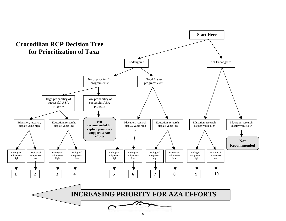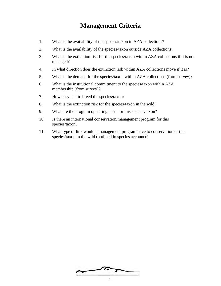# **Management Criteria**

- 1. What is the availability of the species/taxon in AZA collections?
- 2. What is the availability of the species/taxon outside AZA collections?
- 3. What is the extinction risk for the species/taxon within AZA collections if it is not managed?
- 4. In what direction does the extinction risk within AZA collections move if it is?
- 5. What is the demand for the species/taxon within AZA collections (from survey)?
- 6. What is the institutional commitment to the species/taxon within AZA membership (from survey)?
- 7. How easy is it to breed the species/taxon?
- 8. What is the extinction risk for the species/taxon in the wild?
- 9. What are the program operating costs for this species/taxon?
- 10. Is there an international conservation/management program for this species/taxon?
- 11. What type of link would a management program have to conservation of this species/taxon in the wild (outlined in species account)?

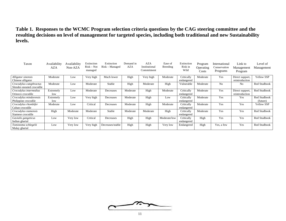## **Table 1. Responses to the WCMC Program selection criteria questions by the CAG steering committee and the resulting decisions on level of management for targeted species, including both traditional and new Sustainability levels.**

| Taxon                                                | Availability<br>AZA | Availability<br>Non-AZA | Extinction<br>$Risk - Not$<br>managed | Extinction<br>$Risk - Management$ | Demand in<br>AZA | AZA<br>Institutional<br>Commitment | Ease of<br>Breeding | Extinction<br>Risk in<br>Wild | Program<br>Operating<br>Costs | International<br>Conservation<br>Programs | Link to<br>Management<br>Program  | Level of<br>Management          |
|------------------------------------------------------|---------------------|-------------------------|---------------------------------------|-----------------------------------|------------------|------------------------------------|---------------------|-------------------------------|-------------------------------|-------------------------------------------|-----------------------------------|---------------------------------|
| Alligator sinensis<br>Chinese alligator              | Moderate            | Low                     | Very high                             | Much lower                        | High             | Very high                          | Moderate            | Critically<br>endangered      | Moderate                      | Yes                                       | Direct support,<br>reintroduction | Yellow SSP                      |
| Crocodylus cataphractus<br>Slender-snouted crocodile | Moderate            | Low                     | Moderate                              | Stable                            | High             | Moderate                           | High                | Vulnerable                    | Moderate                      | N <sub>0</sub>                            | No                                | <b>Red Studbook</b>             |
| Crocodylus intermedius<br>Orinoco crocodile          | Extremely<br>low    | Low                     | Moderate                              | Decreases                         | Moderate         | High                               | Moderate            | Critically<br>endangered      | Moderate                      | Yes                                       | Direct support,<br>reintroduction | Red Studbook                    |
| Crocodylus mindorensis<br>Philippine crocodile       | Extremely<br>low    | Low                     | Very high                             | Decreases                         | Moderate         | High                               | Low                 | Critically<br>endangered      | Moderate                      | Yes                                       | Yes                               | <b>Red Studbook</b><br>(future) |
| Crocodylus rhombifer<br>Cuban crocodile              | Moderate            | Low                     | Critical                              | Decreases                         | Moderate         | High                               | Moderate            | Critically<br>endangered      | Moderate                      | Yes                                       | Yes                               | Yellow SSP                      |
| Crocodylus siamensis<br>Siamese crocodile            | High                | Moderate                | Moderate                              | Stable                            | Moderate         | Moderate                           | High                | Critically<br>endangered      | Moderate                      | Yes                                       | Yes                               | <b>Red Studbook</b>             |
| Gavialis gangeticus<br>Indian gharial                | Low                 | Very low                | Critical                              | Decreases                         | High             | High                               | Moderate/low        | Critically<br>endangered      | High                          | Yes                                       | Yes                               | <b>Red Studbook</b>             |
| Tomistoma schlegelii<br>Malay gharial                | Low                 | Very low                | Very high                             | Decreases/stable                  | High             | High                               | Very low            | Endangered                    | High                          | Yes, a few                                | Yes                               | <b>Red Studbook</b>             |

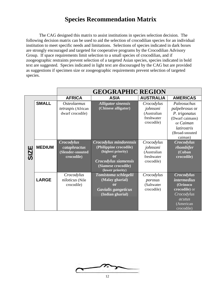# **Species Recommendation Matrix**

The CAG designed this matrix to assist institutions in species selection decision. The following decision matrix can be used to aid the selection of crocodilian species for an individual institution to meet specific needs and limitations. Selections of species indicated in dark boxes are strongly encouraged and targeted for cooperative programs by the Crocodilian Advisory Group. If space requirements limit selection to a small species of crocodilian, and if zoogeographic restraints prevent selection of a targeted Asian species, species indicated in bold text are suggested. Species indicated in light text are discouraged by the CAG but are provided as suggestions if specimen size or zoogeographic requirements prevent selection of targeted species.

|      |               |                           | <b>GEOGRAPHIC REGION</b>                |                  |                       |
|------|---------------|---------------------------|-----------------------------------------|------------------|-----------------------|
|      |               | <b>AFRICA</b>             | <b>ASIA</b>                             | <b>AUSTRALIA</b> | <b>AMERICAS</b>       |
|      | <b>SMALL</b>  | <i><b>Osteolaemus</b></i> | <b>Alligator sinensis</b>               | Crocodylus       | Paleosuchus           |
|      |               | tetraspis (African        | (Chinese alligator)                     | johnsoni         | <i>palpebrosus</i> or |
|      |               | dwarf crocodile)          |                                         | (Australian      | P. trigonatus         |
|      |               |                           |                                         | freshwater       | (Dwarf caimans)       |
|      |               |                           |                                         | crocodile)       | or Caiman             |
|      |               |                           |                                         |                  | <i>latirostris</i>    |
|      |               |                           |                                         |                  | (Broad-snouted        |
|      |               |                           |                                         |                  | caiman)               |
|      |               | <b>Crocodylus</b>         | Crocodylus mindorensis                  | Crocodylus       | <b>Crocodylus</b>     |
| SIZE | <b>MEDIUM</b> | cataphractus              | (Philippine crocodile)                  | johnsoni         | rhombifer             |
|      |               | (Slender-snouted          | (highest priority)                      | (Australian      | (Cuban                |
|      |               | crocodile)                | or                                      | freshwater       | crocodile)            |
|      |               |                           | Crocodylus siamensis                    | crocodile)       |                       |
|      |               |                           | (Siamese crocodile)<br>(lower priority) |                  |                       |
|      |               | Crocodylus                | Tomistoma schlegelii                    | Crocodylus       | <b>Crocodylus</b>     |
|      | <b>LARGE</b>  | niloticus (Nile           | (Malay gharial)                         | porosus          | <i>intermedius</i>    |
|      |               | crocodile)                | or                                      | (Saltwater       | (Orinoco              |
|      |               |                           | Gavialis gangeticus                     | crocodile)       | crocodile) or         |
|      |               |                           | (Indian gharial)                        |                  | Crocodylus            |
|      |               |                           |                                         |                  | $\overline{acutus}$   |
|      |               |                           |                                         |                  | (American             |
|      |               |                           |                                         |                  | crocodile)            |

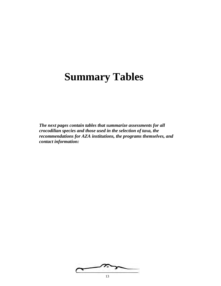# **Summary Tables**

*The next pages contain tables that summarize assessments for all crocodilian species and those used in the selection of taxa, the recommendations for AZA institutions, the programs themselves, and contact information:*

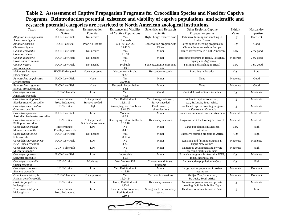## **Table 2. Assessment of Captive Propagation Programs for Crocodilian Species and Need for Captive Programs. Reintroduction potential, existence and viability of captive populations, and scientific and research potential categories are restricted to North American zoological institutions.**

| Taxon                                                  | Conservation<br><b>Status</b>       | Reintroduction<br>Potential            | <b>Existence and Viability</b><br>of Captive Populations | Scientific and Research<br>Potential    | Other Regional Captive<br>Propagation grams                            | Exhibit<br>Value | Husbandry<br>Expertise |
|--------------------------------------------------------|-------------------------------------|----------------------------------------|----------------------------------------------------------|-----------------------------------------|------------------------------------------------------------------------|------------------|------------------------|
| Alligator mississippiensis<br>American alligator       | <b>IUCN-Low Risk</b>                | Not needed                             | Yes<br>Hundreds                                          | High - Large research base              | Extensive farming and ranching in<br><b>United States</b>              |                  | Excellent              |
| Alligator sinensis<br>Chinese alligator                | <b>IUCN-</b> Critical               | Poor/No Habitat                        | Yes, Yellow SSP<br>35.40.3                               | Conservation program with<br>China      | Large captive breeding programs in<br>China - Some animals in Europe   |                  | Good                   |
| Caiman crocodilus<br>Common caiman                     | <b>IUCN-Low Risk</b>                | Not needed                             | Yes<br>7.9.10                                            | Minor                                   | Farmed extensively in South American                                   | Low              | Very good              |
| Caiman latirostris<br>Broad-snouted caiman             | <b>IUCN-Low Risk</b>                | Not needed                             | Yes<br>7.3.5                                             | Minor                                   | Breeding programs in Brazil, Paraguay,<br>Uruguay and Argentina        | Moderate         | Very good              |
| Caiman yacare<br>Yacare caiman                         | <b>IUCN-Low Risk</b>                | Not needed                             | Probable<br>2.13.1                                       | Some taxonomic questions<br>remain      | Farming and ranching in Brazil                                         | Low              | Very good              |
| Melanosuchus niger<br>Black caiman                     | <b>IUCN-Endangered</b>              | None at present                        | No-too few animals,<br>0.2.3                             | Husbandry research                      | Ranching in Ecuador                                                    | High             | Low                    |
| Paleosuchus palpebrosus<br>Dwarf caiman                | <b>IUCN-Low Risk</b>                | None                                   | Yes<br>32.40.26                                          | Minor                                   | None                                                                   | Moderate         | Good                   |
| Paleosuchus trigonatus<br>Smooth-fronted caiman        | <b>IUCN-Low Risk</b>                | None                                   | Uncertain but probable<br>4.8.1                          | Minor                                   | None                                                                   | Moderate         | Good                   |
| Crocodylus acutus<br>American crocodile                | <b>IUCN-Vulnerable</b>              | Low                                    | Yes<br>7.9.6                                             | Good                                    | Central America/South America                                          | High             | Moderate               |
| Crocodylus cataphractus<br>Slender-snouted crocodile   | Indeterminate-<br>Prob. Endangered  | Not at present<br>Surveys needed       | Yes, Red Studbook<br>12.11.15                            | Yes, biology unknown,<br>Surveys needed | A few in captive collection,<br>e.g., St. Lucia, South Africa          | High             | Moderate               |
| Crocodylus intermedius<br>Orinoco crocodile            | <b>IUCN-Critical</b>                | High                                   | Developing, Red Studbook<br>9.61.35                      | Field research,<br>reintroductions      | Established captive breeding programs<br>in Venezuela, Columbia        | High             | Moderate               |
| Crocodylus johnsoni<br>Australian freshwater crocodile | <b>IUCN-Low Risk</b>                | Low                                    | Moderate<br>6.8.7                                        | Minor                                   | Raised on numerous farms in Australia                                  | Moderate         | Moderate               |
| Crocodylus mindorensis<br>Philippine crocodile         | <b>IUCN-Critical</b>                | Not at present<br>But in situ exchange | Developing, future studbook<br>3.10.18                   | Husbandry research                      | Programs exist for farming & research                                  | Moderate         | Moderate               |
| Crocodylus moreletii<br>Morelet's crocodile            | Indeterminate-<br>Possibly Low Risk | Low                                    | N <sub>o</sub><br>0.4.3                                  | Minor                                   | Large populations in Mexican<br>institutions                           | Low              | High                   |
| Crocodylus niloticus<br>Nile crocodile                 | <b>IUCN-Low Risk</b>                | Not needed                             | Yes<br>38.18.4                                           | Minor                                   | Extensive farming program in Africa                                    | High             | High                   |
| Crocodylus novaeguineae<br>New Guinea crocodile        | <b>IUCN-Low Risk</b>                | Low                                    | No<br>4.2.0                                              | Minor                                   | Ranching and farming programs in<br>Papua New Guinea                   | Moderate         | Moderate               |
| Crocodylus palustris<br>Mugger crocodile               | <b>IUCN-Vulnerable</b>              | Low                                    | No<br>1.1.0                                              | Minor                                   | Numerous government and private<br>breeding facilities in India        | Moderate         | High                   |
| Crocodylus porosus<br>Saltwater crocodile              | <b>IUCN-Low Risk</b>                | Low                                    | Improbable<br>4.5.6                                      | Minor                                   | Extensive programs in Australia, PNG,<br>India, Indonesia, etc.        | High             | Moderate               |
| Crocodylus rhombifer<br>Cuban crocodile                | <b>IUCN-Critical</b>                | Moderate                               | Yes, Yellow SSP<br>9.23.1                                | Cooperate with in situ<br>programs      | Large captive population in Cuba                                       | High             | High                   |
| Crocodylus siamensis<br>Siamese crocodile              | <b>IUCN-Critical</b>                | Low                                    | Yes, Red Studbook<br>4.15.18                             | Minor                                   | Large captive population in Asian<br>institutions                      | Moderate         | Excellent              |
| Osteolaemus tetraspis<br>African dwarf crocodile       | <b>IUCN-Vulnerable</b>              | Not at present                         | Yes<br>15.24.24                                          | Taxonomic questions                     | Abidjan Zoo, Ivory coast,<br>St. Lucia, South Africa                   | Moderate         | Excellent              |
| Gavialis gangeticus<br>Indian gharial                  | <b>IUCN-Critical</b>                | Low                                    | Good, Red Studbook<br>4.13.0                             | Husbandry research                      | Numerous government and private<br>breeding facilities in India/ Nepal | High             | Moderate               |
| Tomistoma schlegelii<br>Malay gharial                  | Indeterminate-<br>Prob. Endangered  | Low                                    | Low, need for founders,<br>Red Studbook<br>9.10.4        | Strong need for husbandry<br>research   | Held in several institutions in Asia                                   | High             | Low                    |

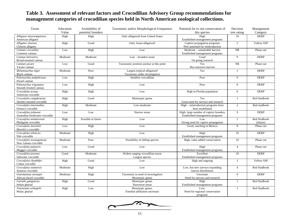# **Table 3. Assessment of relevant factors and Crocodilian Advisory Group recommendations for management categories of crocodilian species held in North American zoological collections.**

| Taxon                                                  | Education | Availability of    | Taxonomic and/or Morphological Uniqueness                    | Potential for in situ conservation of                                    | Decision       | Management               |
|--------------------------------------------------------|-----------|--------------------|--------------------------------------------------------------|--------------------------------------------------------------------------|----------------|--------------------------|
|                                                        | Value     | potential founders |                                                              | this species                                                             | tree rating    | Category                 |
| Alligator mississippiensis<br>American alligator       | High      | High               | Only alligatorid from United States                          | High<br>Established management programs                                  | 10             | <b>DERP</b>              |
| Alligator sinensis<br>Chinese alligator                | High      | Good               | Only Asian alligatorid                                       | Captive propagation programs<br>New potential for reintroduction         | $\overline{c}$ | Yellow SSP               |
| Caiman crocodilus<br>Common caiman                     | Low       | High               | Low                                                          | Moderate - sustainable harvest<br>Established management programs        | <b>NR</b>      | Phase out                |
| Caiman latirostris<br>Broad-snouted caiman             | Moderate  | Moderate           | Low - broadest snout                                         | Good<br>On going research                                                | 9              | <b>DERP</b>              |
| Caiman yacare<br>Yacare caiman                         | Low       | Good               | Taxonomic position unclear at this point                     | Yes<br>But extensive harvest                                             | <b>NR</b>      | Phase out                |
| Melanosuchus niger<br>Black caiman                     | Moderate  | Poor               | Largest tropical alligatorid<br>Taxonomy under investigation | Yes                                                                      | $\overline{1}$ | <b>DERP</b>              |
| Paleosuchus palpebrosus<br>Dwarf caiman                | Low       | High               | Smallest crocodilian                                         | Poor                                                                     | 9              | <b>DERP</b>              |
| Paleosuchus trigonatus<br>Smooth-fronted caiman        | Low       | High               | Low                                                          | Poor                                                                     | 9              | <b>DERP</b>              |
| Crocodylus acutus<br>American crocodile                | High      | High               | Low                                                          | High in Florida population                                               | 6              | <b>DERP</b>              |
| Crocodylus cataphractus<br>Slender-snouted crocodile   | High      | Good               | Monotypic genus                                              | Yes<br>Great need for surveys and research                               | $\mathbf{1}$   | Red Studbook             |
| Crocodylus intermedius<br>Orinoco crocodile            | High      | Moderate           | Low-moderate                                                 | High - reintroduction programs have<br>been established                  | $\overline{2}$ | Red studbook             |
| Crocodylus johnsoni<br>Australian freshwater crocodile | Low       | Low                | Narrow snout                                                 | High-large number of captive breeders<br>Established management programs | 9              | <b>DERP</b>              |
| Crocodylus mindorensis<br>Philippine crocodile         | High      | Possible in future | Low                                                          | Low<br>Strong need for captive propagation                               | $\mathbf{1}$   | Red Studbook<br>(future) |
| Crocodylus moreletii<br>Morelet's crocodile            | Low       | High               | Low                                                          | Good, ranching in Mexico                                                 | 8              | Phase out                |
| Crocodylus niloticus<br>Nile crocodile                 | Moderate  | High               | Low                                                          | High<br>Established management programs                                  | 10             | <b>DERP</b>              |
| Crocodylus novaeguineae<br>New Guinea crocodile        | Moderate  | Poor               | Possibility of sibling species                               | High, value added conservation                                           | 10             | Phase out                |
| Crocodylus palustris<br>Mugger crocodile               | Low       | Good               | Low                                                          | High<br>Established management programs                                  | $\overline{4}$ | Phase out                |
| Crocodylus porosus<br>Saltwater crocodile              | Good      | Moderate           | Widest ranging crocodilian taxon<br>Largest species          | Excellent<br>Established management programs                             | 10             | <b>DERP</b>              |
| Crocodylus rhombifer<br>Cuban crocodile                | High      | Good               | Low                                                          | High and ongoing                                                         | $\overline{1}$ | Yellow SSP               |
| Crocodylus siamensis<br>Siamese crocodile              | Moderate  | High               | Low                                                          | Low, but new surveys expanding<br>known distribution                     | $\overline{4}$ | <b>Red Studbook</b>      |
| Osteolaemus tetraspis<br>African dwarf crocodile       | Moderate  | High               | Taxonomy in need of investigation<br>Monotypic genus         | Uncertain<br>Need for surveys and research                               | 9              | <b>DERP</b>              |
| Gavialis gangeticus<br>Indian gharial                  | High      | Good               | Monotypic genus<br>Narrowest snout                           | High<br>Established management programs                                  | -1             | Red Studbook             |
| Tomistoma schlegelii<br>Malay gharial                  | High      | Low                | Monotypic genus,<br>Familial affiliation uncertain           | Low.<br>Need for regional conservation<br>programs                       | $\mathbf{1}$   | <b>Red Studbook</b>      |

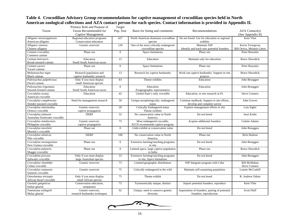#### **Table 4. Crocodilian Advisory Group recommendations for captive management of crocodilian species held in North American zoological collections and AZA contact person for each species. Contact information is provided in Appendix II.**

|                                 | Primary Role and Purpose of   | Target         |                                         |                                               |                             |
|---------------------------------|-------------------------------|----------------|-----------------------------------------|-----------------------------------------------|-----------------------------|
| Taxon                           | Taxon Recommended for         | Pop. Size      | Basis for listing and comments          | Recommendations                               | $AZA$ Contact $(s)$         |
|                                 | Captive Management            |                |                                         |                                               | (See Appendix II)           |
| Alligator mississippiensis      | Regional education programs   | 427            | North American dominant crocodilian     | Do not breed. Use for education or regional   | Kent Vliet                  |
| American alligator              | Conservation education        |                | species                                 | exhibits                                      |                             |
| Alligator sinensis              | Genetic reservoir             | 120            | One of the most critically endangered   | Maintain SSP                                  | Kevin Torregrosa            |
| Chinese alligator               |                               |                | crocodilian species                     | Identify and track new potential founders     | Bill Orrico, Melanie Litton |
| Caiman crocodilus               | Phase out                     | $\overline{0}$ | Space limitations                       | Phase out                                     | <b>Peter Brazaitis</b>      |
| Common caiman                   |                               |                |                                         |                                               |                             |
| Caiman latirostris              | Education                     | 15             | Education                               | Maintain only for education                   | <b>Bruce Shwedick</b>       |
| Broad-snouted caiman            | Small South American taxon    |                |                                         |                                               |                             |
| Caiman vacare                   | Phase out                     | $\overline{0}$ | Space limitations                       | Phase out                                     | Peter Brazaitis             |
| Yacare caiman                   |                               |                |                                         |                                               |                             |
| Melanosuchus niger              | Research population and       | 13             | Research for captive husbandry          | Work out captive husbandry. Support in situ   | <b>Bruce Shwedick</b>       |
| Black caiman                    | captive husbandry research    |                |                                         | projects                                      |                             |
| Paleosuchus palpebrosus         | Only if you must display      | 83             | Theme exhibits                          | Education                                     | John Brueggen               |
| Dwarf caiman                    | small American species        |                |                                         |                                               |                             |
| Paleosuchus trigonatus          | Education                     | $\Omega$       | Education                               | Education                                     | John Brueggen               |
| Smooth-fronted caiman           | Small South American taxon    |                | Zoogeographic representative            |                                               |                             |
| Crocodylus acutus               | Education                     | 42             | United State's only crocodile           | Education, in situ research in FL             | <b>Steve Conners</b>        |
| American crocodile              |                               |                |                                         |                                               |                             |
| Crocodylus cataphractus         | Need for management research  | 50             | Unique morphologically, endangered      | Continue studbook, Support in situ efforts,   | John Groves                 |
| Slender-snouted crocodile       |                               |                | status                                  | develop and complete survey                   |                             |
| Crocodylus intermedius          | Genetic reservoir.            | 28             | <b>Critically Endangered status</b>     | Explore management efforts in situ            | Luis Sigler                 |
| Orinoco crocodile               | captive propagation           |                | Theme exhibits                          |                                               |                             |
| Crocodylus johnsoni             | <b>DERP</b>                   | 32             | No conservation value in North          | Do not breed                                  | Jessi Krebs                 |
| Australian freshwater crocodile |                               |                | America.                                |                                               |                             |
| Crocodylus mindorensis          | Genetic reservoir.            | 75             | Most endangered crocodile,              | Acquire additional founders                   | Colette Adams               |
| Philippine crocodile            | captive propagation           |                | IUCN recommends captive program         |                                               |                             |
| Crocodylus moreletii            | Phase out                     | $\theta$       | Little exhibit or conservation value    | Do not breed                                  | John Brueggen               |
| Morelet's crocodile             |                               |                |                                         |                                               |                             |
| Crocodylus niloticus            | <b>DERP</b>                   | 100            | No conservation value in North          | Phase out                                     | Rick Hudson                 |
| Nile crocodile                  |                               |                | America.                                |                                               |                             |
| Crocodylus novaeguineae         | Phase out                     | $\overline{0}$ | Extensive farming/ranching programs     | Do not breed                                  | John Brueggen               |
| New Guinea crocodile            |                               |                | in situ                                 |                                               |                             |
| Crocodylus palustris            | Phase out                     | $\overline{0}$ | Limited space, large captive population | Phase out                                     | <b>Bruce Shwedick</b>       |
| Mugger crocodile                |                               |                | in India                                |                                               |                             |
| Crocodylus porosus              | Only if you must display      | 33             | Extensive farming/ranching programs     | Do not breed                                  | John Brueggen               |
| Saltwater crocodile             | large Australian species      |                | in situ, Space limitations              |                                               |                             |
| Crocodylus rhombifer            | Genetic reservoir             | 75             | Limited geographic distribution         | SSP Integrate program with Cuba               | <b>Bill McMahan</b>         |
| Cuban crocodile                 |                               |                |                                         |                                               | <b>Steve Conners</b>        |
| Crocodylus siamensis            | Genetic reservoir             | 75             | Critically endangered in the wild       | Maintain self-sustaining population           | Lonnie McCaskill            |
| Siamese crocodile               |                               |                |                                         |                                               |                             |
| Osteolaemus tetraspis           | Only if you must display      | 75             | Theme exhibit                           | Do not breed                                  | R. Andrew Odum              |
| African dwarf crocodile         | small African species         |                |                                         |                                               |                             |
| Gavialis gangeticus             | Conservation education,       | 75             | Taxonomically unique, distinct          | Import potential founders, reproduce          | Kent Vliet                  |
| Indian gharial                  | uniqueness                    |                |                                         |                                               |                             |
| Tomistoma schlegelii            | Genetic reservoir,            | 92             | Unique, need to conserve genetic        | Importation of founders, pairing of potential | <b>Scott Pfaff</b>          |
| Malay gharial                   | research husbandry techniques |                | diversity                               | founders, reproduction                        |                             |

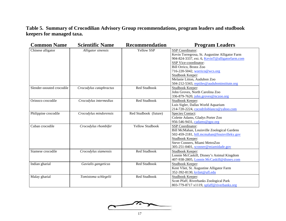# **Table 5. Summary of Crocodilian Advisory Group recommendations, program leaders and studbook keepers for managed taxa.**

| <b>Common Name</b>        | <b>Scientific Name</b>  | <b>Recommendation</b>  | <b>Program Leaders</b>                                                                                                                                                                                                                                                                                     |
|---------------------------|-------------------------|------------------------|------------------------------------------------------------------------------------------------------------------------------------------------------------------------------------------------------------------------------------------------------------------------------------------------------------|
| Chinese alligator         | Alligator sinensis      | <b>Yellow SSP</b>      | SSP Coordinator:<br>Kevin Torregrosa, St. Augustine Alligator Farm<br>904-824-3337, ext. 6, KevinT@alligatorfarm.com<br>SSP Vice-coordinator:<br>Bill Orrico, Bronx Zoo<br>716-220-5042, worrico@wcs.org<br>Studbook Keeper:<br>Melanie Litton, Audubon Zoo<br>504-212-5343, reptiles@auduboninstitute.org |
| Slender-snouted crocodile | Crocodylus cataphractus | Red Studbook           | Studbook Keeper:<br>John Groves, North Carolina Zoo<br>336-879-7620, john.groves@nczoo.org                                                                                                                                                                                                                 |
| Orinoco crocodile         | Crocodylus intermedius  | Red Studbook           | Studbook Keeper:<br>Luis Sigler, Dallas World Aquarium<br>214-720-2224, cocodriloblanco@yahoo.com                                                                                                                                                                                                          |
| Philippine crocodile      | Crocodylus mindorensis  | Red Studbook (future)  | <b>Species Contact:</b><br>Colette Adams, Gladys Porter Zoo<br>956-546-9431, cadams@gpz.org                                                                                                                                                                                                                |
| Cuban crocodile           | Crocodylus rhombifer    | <b>Yellow Studbook</b> | SSP Coordinator:<br>Bill McMahan, Louisville Zoological Gardens<br>502-459-2181, bill.mcmahan@louisvilleky.gov<br>Studbook Keeper:<br>Steve Conners, Miami MetroZoo<br>305-251-0401, sconner@miamidade.gov                                                                                                 |
| Siamese crocodile         | Crocodylus siamensis    | Red Studbook           | Studbook Keeper:<br>Lonnie McCaskill, Disney's Animal Kingdom<br>407-938-2805, Lonnie.McCaskill@disney.com                                                                                                                                                                                                 |
| Indian gharial            | Gavialis gangeticus     | Red Studbook           | Studbook Keeper:<br>Kent Vliet, St. Augustine Alligator Farm<br>352-392-8130, kvliet@ufl.edu                                                                                                                                                                                                               |
| Malay gharial             | Tomistoma schlegelii    | Red Studbook           | Studbook Keeper:<br>Scott Pfaff, Riverbanks Zoological Park<br>803-779-8717 x1119, spfaff@riverbanks.org                                                                                                                                                                                                   |

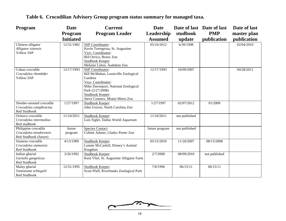| Program                                                                 | Date              | <b>Current</b>                                                                                                                                                                                           | <b>Date</b>    |               | Date of last Date of last | Date of last |
|-------------------------------------------------------------------------|-------------------|----------------------------------------------------------------------------------------------------------------------------------------------------------------------------------------------------------|----------------|---------------|---------------------------|--------------|
|                                                                         | <b>Program</b>    | <b>Program Leader</b>                                                                                                                                                                                    | Leadership     | studbook      | <b>PMP</b>                | master plan  |
|                                                                         | <b>Initiated</b>  |                                                                                                                                                                                                          | <b>Assumed</b> | update        | publication               | publication  |
| Chinese alligator<br>Alligator sinensis<br><b>Yellow SSP</b>            | 12/31/1982        | <b>SSP</b> Coordinator:<br>Kevin Torregrosa, St. Augustine<br>Vice-Coordinator:                                                                                                                          | 05/16/2012     | 6/30/1998     |                           | 02/04/2010   |
|                                                                         |                   | Bill Orrico, Bronx Zoo<br>Studbook Keeper:<br>Melanie Litton, Audubon Zoo                                                                                                                                |                |               |                           |              |
| Cuban crocodile<br>Crocodylus rhombifer<br>Yellow SSP                   | 12/17/1993        | SSP Coordinator:<br>Bill McMahan, Louisville Zoological<br>Gardens<br>Vice-Coordinator:<br>Mike Davenport, National Zoological<br>Park (2/27/2008)<br>Studbook Keeper:<br>Steve Conners, Miami Metro Zoo | 12/17/1993     | 10/09/2007    |                           | 04/28/2011   |
| Slender-snouted crocodile<br>Crocodylus cataphractus<br>Red Studbook    | 1/27/1997         | Studbook Keeper:<br>John Groves, North Carolina Zoo                                                                                                                                                      | 1/27/1997      | 02/07/2012    | 01/2009                   |              |
| Orinoco crocodile<br>Crocodylus intermedius<br>Red studbook             | 11/10/2011        | Studbook Keeper:<br>Luis Sigler, Dallas World Aquarium                                                                                                                                                   | 11/10/2011     | not published |                           |              |
| Philippine crocodile<br>Crocodylus mindorensis<br>Red Studbook (future) | future<br>program | <b>Species Contact:</b><br>Colette Adams, Gladys Porter Zoo                                                                                                                                              | future program | not published |                           |              |
| Siamese crocodile<br>Crocodylus siamensis<br>Red Studbook               | 4/13/1989         | Studbook Keeper:<br>Lonnie McCaskill, Disney's Animal<br>Kingdom                                                                                                                                         | 05/15/2010     | 11/18/2007    | 08/13/2008                |              |
| Indian gharial<br>Gavialis gangeticus<br>Red Studbook                   | 3/26/1992         | Studbook Keeper:<br>Kent Vliet, St. Augustine Alligator Farm                                                                                                                                             | 2/7/2000       | 08/09/2010    | not published             |              |
| Malay gharial<br>Tomistoma schlegelii<br>Red Studbook                   | 12/31/1995        | Studbook Keeper:<br>Scott Pfaff, Riverbanks Zoological Park                                                                                                                                              | 7/8/1996       | 06/15/11      | 06/15/11                  |              |

# **Table 6. Crocodilian Advisory Group program status summary for managed taxa.**

 $\sim$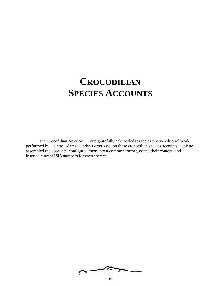# **CROCODILIAN SPECIES ACCOUNTS**

The Crocodilian Advisory Group gratefully acknowledges the extensive editorial work performed by Colette Adams, Gladys Porter Zoo, on these crocodilian species accounts. Colette assembled the accounts, configured them into a common format, edited their content, and inserted current ISIS numbers for each species.

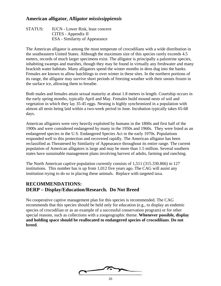#### **American alligator,** *Alligator mississippiensis*

| STATUS: | <b>IUCN</b> - Lower Risk, least concern |
|---------|-----------------------------------------|
|         | CITES - Appendix II                     |
|         | <b>ESA</b> - Similarity of Appearance   |

The American alligator is among the most temperate of crocodilians with a wide distribution in the southeastern United States. Although the maximum size of this species rarely exceeds 4.5 meters, records of much larger specimens exist. The alligator is principally a palustrine species, inhabiting swamps and marshes, though they may be found in virtually any freshwater and many brackish water habitats. Many alligators spend the winter months in dens dug into the banks. Females are known to allow hatchlings to over winter in these sites. In the northern portions of its range, the alligator may survive short periods of freezing weather with their snouts frozen in the surface ice, allowing them to breathe.

Both males and females attain sexual maturity at about 1.8 meters in length. Courtship occurs in the early spring months, typically April and May. Females build mound nests of soil and vegetation in which they lay 35-45 eggs. Nesting is highly synchronized in a population with almost all nests being laid within a two-week period in June. Incubation typically takes 65-68 days.

American alligators were very heavily exploited by humans in the 1800s and first half of the 1900s and were considered endangered by many in the 1950s and 1960s. They were listed as an endangered species in the U.S. Endangered Species Act in the early 1970s. Populations responded well to this protection and recovered rapidly. The American alligator has been reclassified as Threatened by Similarity of Appearance throughout its entire range. The current population of American alligators is large and may be more than 1.5 million. Several southern states have sustainable management plans involving harvest of adults, farming and ranching.

The North American captive population currently consists of 1,511 (315.330.866) in 127 institutions. This number has is up from 1,012 five years ago. The CAG will assist any institution trying to do so in placing these animals. Replace with targeted taxa.

#### **RECOMMENDATIONS: DERP – Display/Education/Research. Do Not Breed**

No cooperative captive management plan for this species is recommended. The CAG recommends that this species should be held only for education (e.g., to display an endemic species of crocodilian or as an example of a successful conservation program) or for other special reasons, such as collections with a zoogeographic theme. **Whenever possible, display and holding space should be reallocated to endangered species of crocodilians**. **Do not breed**.

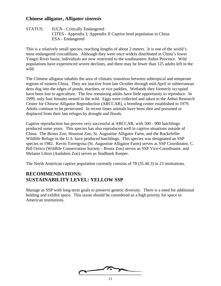#### **Chinese alligator,** *Alligator sinensis*

STATUS: IUCN - Critically Endangered CITES - Appendix I; Appendix II Captive bred population in China ESA - Endangered

This is a relatively small species, reaching lengths of about 2 meters. It is one of the world's most endangered crocodilians. Although they were once widely distributed in China's lower Yangzi River basin, individuals are now restricted to the southeastern Anhui Province. Wild populations have experienced severe declines, and there may be fewer than 125 adults left in the wild.

The Chinese alligator inhabits the area of climatic transition between subtropical and temperate regions of eastern China. They are inactive from late October through mid-April in subterranean dens dug into the edges of ponds, marshes, or rice paddies. Wetlands they formerly occupied have been lost to agriculture. The few remaining adults have little opportunity to reproduce. In 1999, only four females nested in the wild. Eggs were collected and taken to the Anhui Research Center for *Chinese Alligator* Reproduction (ARCCAR), a breeding center established in 1979. Adults continue to be persecuted. In recent times animals have been shot and poisoned or displaced from their last refuges by drought and floods.

Captive reproduction has proven very successful at ARCCAR, with 500 - 900 hatchlings produced some years. This species has also reproduced well in captive situations outside of China. The Bronx Zoo, Houston Zoo, St. Augustine Alligator Farm, and the Rockefeller Wildlife Refuge in the U.S. have produced hatchlings. This species was designated an SSP species in 1982. Kevin Torregrosa (St. Augustine Alligator Farm) serves as SSP Coordinator, C. Bill Orrico (Wildlife Conservation Society - Bronx Zoo) serves as SSP Vice-Coordinator, and Melanie Litton (Audubon Zoo) serves as Studbook Keeper.

The North American captive population currently consists of 78 (35.40.3) in 23 institutions.

## **RECOMMENDATIONS: SUSTAINABILITY LEVEL: YELLOW SSP**

Manage as SSP with long-term goals to preserve genetic diversity. There is a need for additional holding and exhibit space. This taxon should be considered as a high priority for space in American institutions.

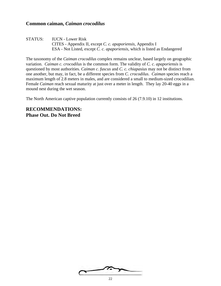#### **Common caiman,** *Caiman crocodilus*

STATUS: IUCN - Lower Risk CITES - Appendix II, except *C. c. apaporiensis*, Appendix I ESA - Not Listed, except *C. c. apaporiensis*, which is listed as Endangered

The taxonomy of the *Caiman crocodilus* complex remains unclear, based largely on geographic variation. *Caiman c. crocodilus* is the common form. The validity of *C. c. apaporiensis* is questioned by most authorities. *Caiman c. fuscus* and *C. c. chiapasius* may not be distinct from one another, but may, in fact, be a different species from *C. crocodilus*. *Caiman* species reach a maximum length of 2.8 meters in males, and are considered a small to medium-sized crocodilian. Female *Caiman* reach sexual maturity at just over a meter in length. They lay 20-40 eggs in a mound nest during the wet season.

The North American captive population currently consists of 26 (7.9.10) in 12 institutions.

**RECOMMENDATIONS: Phase Out. Do Not Breed**

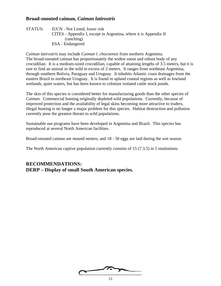### **Broad-snouted caiman,** *Caiman latirostris*

STATUS: IUCN - Not Listed, lower risk CITES - Appendix I, except in Argentina, where it is Appendix II (ranching) ESA - Endangered

*Caiman latirostris* may include *Caiman l. chocoensis* from northern Argentina. The broad-snouted caiman has proportionately the widest snout and robust body of any crocodilian. It is a medium-sized crocodilian, capable of attaining lengths of 3.5 meters, but it is rare to find an animal in the wild in excess of 2 meters. It ranges from northeast Argentina, through southern Bolivia, Paraguay and Uruguay. It inhabits Atlantic coast drainages from the eastern Brazil to northeast Uruguay. It is found in upland coastal regions as well as lowland wetlands, quiet waters, but has been known to colonize isolated cattle stock ponds.

The skin of this species is considered better for manufacturing goods than the other species of *Caiman*. Commercial hunting originally depleted wild populations. Currently, because of improved protection and the availability of legal skins becoming more attractive to traders, illegal hunting is no longer a major problem for this species. Habitat destruction and pollution currently pose the greatest threats to wild populations.

Sustainable use programs have been developed in Argentina and Brazil. This species has reproduced at several North American facilities.

Broad-snouted caiman are mound nesters, and 18 - 50 eggs are laid during the wet season.

The North American captive population currently consists of 15 (7.3.5) in 5 institutions.

#### **RECOMMENDATIONS: DERP – Display of small South American species.**

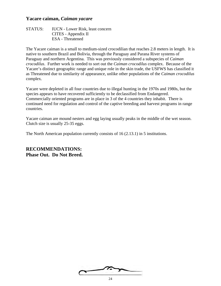#### **Yacare caiman,** *Caiman yacare*

| STATUS: IUCN - Lower Risk, least concern |
|------------------------------------------|
| CITES - Appendix II                      |
| <b>ESA</b> - Threatened                  |

The Yacare caiman is a small to medium-sized crocodilian that reaches 2.8 meters in length. It is native to southern Brazil and Bolivia, through the Paraguay and Parana River systems of Paraguay and northern Argentina. This was previously considered a subspecies of *Caiman crocodilus*. Further work is needed to sort out the *Caiman crocodilus* complex. Because of the Yacare's distinct geographic range and unique role in the skin trade, the USFWS has classified it as Threatened due to similarity of appearance, unlike other populations of the *Caiman crocodilus*  complex.

Yacare were depleted in all four countries due to illegal hunting in the 1970s and 1980s, but the species appears to have recovered sufficiently to be declassified from Endangered. Commercially oriented programs are in place in 3 of the 4 countries they inhabit. There is continued need for regulation and control of the captive breeding and harvest programs in range countries.

Yacare caiman are mound nesters and egg laying usually peaks in the middle of the wet season. Clutch size is usually 25-35 eggs.

The North American population currently consists of 16 (2.13.1) in 5 institutions.

**RECOMMENDATIONS: Phase Out. Do Not Breed.**

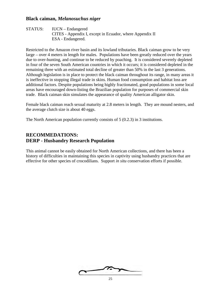#### **Black caiman,** *Melanosuchus niger*

STATUS: IUCN – Endangered CITES - Appendix I, except in Ecuador, where Appendix II ESA - Endangered.

Restricted to the Amazon river basin and its lowland tributaries. Black caiman grow to be very large – over 4 meters in length for males. Populations have been greatly reduced over the years due to over-hunting, and continue to be reduced by poaching. It is considered severely depleted in four of the seven South American countries in which it occurs; it is considered depleted in the remaining three with an estimated total decline of greater than 50% in the last 3 generations. Although legislation is in place to protect the black caiman throughout its range, in many areas it is ineffective in stopping illegal trade in skins. Human food consumption and habitat loss are additional factors. Despite populations being highly fractionated, good populations in some local areas have encouraged down-listing the Brazilian population for purposes of commercial skin trade. Black caiman skin simulates the appearance of quality American alligator skin.

Female black caiman reach sexual maturity at 2.8 meters in length. They are mound nesters, and the average clutch size is about 40 eggs.

The North American population currently consists of 5 (0.2.3) in 3 institutions.

## **RECOMMEDATIONS: DERP - Husbandry Research Population**

This animal cannot be easily obtained for North American collections, and there has been a history of difficulties in maintaining this species in captivity using husbandry practices that are effective for other species of crocodilians. Support *in situ* conservation efforts if possible.

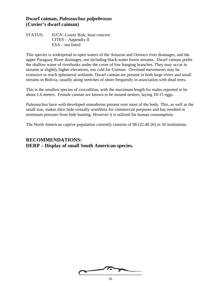#### **Dwarf caiman,** *Paleosuchus palpebrosus* **(Cuvier's dwarf caiman)**

STATUS: IUCN -Lower Risk, least concern CITES – Appendix II ESA – not listed

This species is widespread in open waters of the Amazon and Orinoco river drainages, and the upper Paraguay River drainages, not including black-water forest streams. Dwarf caiman prefer the shallow water of riverbanks under the cover of low hanging branches. They may occur in streams at slightly higher elevations, too cold for *Caiman*. Overland movements may be extensive to reach ephemeral wetlands. Dwarf caiman are present in both large rivers and small streams in Bolivia, usually along stretches of shore frequently in association with dead trees.

This is the smallest species of crocodilian, with the maximum length for males reported to be about 1.6 meters. Female caiman are known to be mound nesters, laying 10-15 eggs.

*Paleosuchus* have well-developed osteoderms present over most of the body. This, as well as the small size, makes their hide virtually worthless for commercial purposes and has resulted in minimum pressure from hide hunting. However it is utilized for human consumption.

The North American captive population currently consists of 98 (32.40.26) in 34 institutions.

## **RECOMMENDATIONS: DERP – Display of small South American species.**

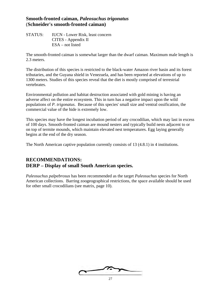#### **Smooth-fronted caiman,** *Paleosuchus trigonatus* (**Schneider's smooth-fronted caiman)**

STATUS: IUCN - Lower Risk, least concern CITES - Appendix II ESA – not listed

The smooth-fronted caiman is somewhat larger than the dwarf caiman. Maximum male length is 2.3 meters.

The distribution of this species is restricted to the black-water Amazon river basin and its forest tributaries, and the Guyana shield in Venezuela, and has been reported at elevations of up to 1300 meters. Studies of this species reveal that the diet is mostly comprised of terrestrial vertebrates.

Environmental pollution and habitat destruction associated with gold mining is having an adverse affect on the entire ecosystem. This in turn has a negative impact upon the wild populations of *P. trigonatus*. Because of this species' small size and ventral ossification, the commercial value of the hide is extremely low.

This species may have the longest incubation period of any crocodilian, which may last in excess of 100 days. Smooth-fronted caiman are mound nesters and typically build nests adjacent to or on top of termite mounds, which maintain elevated nest temperatures. Egg laying generally begins at the end of the dry season.

The North American captive population currently consists of 13 (4.8.1) in 4 institutions.

# **RECOMMENDATIONS: DERP – Display of small South American species.**

*Paleosuchus palpebrosus* has been recommended as the target *Paleosuchus* species for North American collections. Barring zoogeographical restrictions, the space available should be used for other small crocodilians (see matrix, page 10).

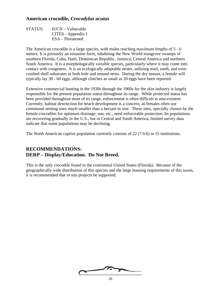#### **American crocodile,** *Crocodylus acutus*

STATUS: IUCN – Vulnerable CITES - Appendix I ESA - Threatened

The American crocodile is a large species, with males reaching maximum lengths of 5 - 6 meters. It is primarily an estuarine form, inhabiting the New World mangrove swamps of southern Florida, Cuba, Haiti, Dominican Republic, Jamaica, Central America and northern South America. It is a morphologically variable species, particularly where it may come into contact with congeners. It is an ecologically adaptable nester, utilizing marl, earth, and even crushed shell substrates in both hole and mound nests. During the dry season, a female will typically lay 30 - 60 eggs, although clutches as small as 20 eggs have been reported.

Extensive commercial hunting in the 1930s through the 1960s for the skin industry is largely responsible for the present population status throughout its range. While protected status has been provided throughout most of its range, enforcement is often difficult to non-existent. Currently, habitat destruction for beach development is a concern, as females often use communal nesting sites much smaller than a hectare in size. These sites, specially chosen by the female crocodiles for optimum drainage, sun, etc., need enforceable protection. Its populations are recovering gradually in the U.S., but in Central and South America, limited survey data indicate that some populations may be declining.

The North American captive population currently consists of 22 (7.9.6) in 15 institutions.

## **RECOMMENDATIONS: DERP – Display/Education. Do Not Breed.**

This is the only crocodile found in the continental United States (Florida). Because of the geographically wide distribution of this species and the large housing requirements of this taxon, it is recommended that *in situ* projects be supported.

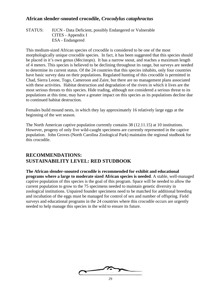## **African slender-snouted crocodile,** *Crocodylus cataphractus*

```
STATUS: IUCN - Data Deficient, possibly Endangered or Vulnerable
 CITES - Appendix I
 ESA - Endangered
```
This medium-sized African species of crocodile is considered to be one of the most morphologically unique crocodile species. In fact, it has been suggested that this species should be placed in it's own genus (*Mecistops*). It has a narrow snout, and reaches a maximum length of 4 meters. This species is believed to be declining throughout its range, but surveys are needed to determine its current status. Of the 24 countries that this species inhabits, only four countries have basic survey data on their populations. Regulated hunting of this crocodile is permitted in Chad, Sierra Leone, Togo, Cameroon and Zaire, but there are no management plans associated with these activities. Habitat destruction and degradation of the rivers in which it lives are the most serious threats to this species. Hide trading, although not considered a serious threat to its populations at this time, may have a greater impact on this species as its populations decline due to continued habitat destruction.

Females build mound nests, in which they lay approximately 16 relatively large eggs at the beginning of the wet season.

The North American captive population currently contains 38 (12.11.15) at 10 institutions. However, progeny of only five wild-caught specimens are currently represented in the captive population. John Groves (North Carolina Zoological Park) maintains the regional studbook for this crocodile.

## **RECOMMENDATIONS: SUSTAINABILITY LEVEL: RED STUDBOOK**

**The African slender-snouted crocodile is recommended for exhibit and educational programs where a large to moderate sized African species is needed**. A stable, well-managed captive population of this species is the goal of this program. Space will be needed to allow the current population to grow to the 75 specimens needed to maintain genetic diversity in zoological institutions. Unpaired founder specimens need to be matched for additional breeding and incubation of the eggs must be managed for control of sex and number of offspring. Field surveys and educational programs in the 24 countries where this crocodile occurs are urgently needed to help manage this species in the wild to ensure its future.

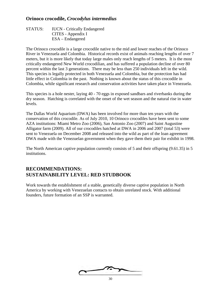### **Orinoco crocodile,** *Crocodylus intermedius*

STATUS: IUCN - Critically Endangered CITES - Appendix I ESA – Endangered

The Orinoco crocodile is a large crocodile native to the mid and lower reaches of the Orinoco River in Venezuela and Colombia. Historical records exist of animals reaching lengths of over 7 meters, but it is more likely that today large males only reach lengths of 5 meters. It is the most critically endangered New World crocodilian, and has suffered a population decline of over 80 percent within the last 3 generations. There may be less than 250 individuals left in the wild. This species is legally protected in both Venezuela and Colombia, but the protection has had little effect in Colombia in the past. Nothing is known about the status of this crocodile in Colombia, while significant research and conservation activities have taken place in Venezuela.

This species is a hole nester, laying 40 - 70 eggs in exposed sandbars and riverbanks during the dry season. Hatching is correlated with the onset of the wet season and the natural rise in water levels.

The Dallas World Aquarium (DWA) has been involved for more than ten years with the conservation of this crocodile. As of July 2010, 10 Orinoco crocodiles have been sent to some AZA institutions: Miami Metro Zoo (2006), San Antonio Zoo (2007) and Saint Augustine Alligator farm (2009). All of our crocodiles hatched at DWA in 2006 and 2007 (total 53) were sent to Venezuela on December 2008 and released into the wild as part of the loan agreement DWA made with the Venezuelan government when they gave them their pair for exhibit in 1998.

The North American captive population currently consists of 5 and their offspring (9.61.35) in 5 institutions.

## **RECOMMENDATIONS: SUSTAINABILITY LEVEL: RED STUDBOOK**

Work towards the establishment of a stable, genetically diverse captive population in North America by working with Venezuelan contacts to obtain unrelated stock. With additional founders, future formation of an SSP is warranted.

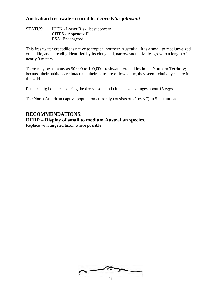### **Australian freshwater crocodile,** *Crocodylus johnsoni*

STATUS: IUCN - Lower Risk, least concern CITES - Appendix II ESA -Endangered

This freshwater crocodile is native to tropical northern Australia. It is a small to medium-sized crocodile, and is readily identified by its elongated, narrow snout. Males grow to a length of nearly 3 meters.

There may be as many as 50,000 to 100,000 freshwater crocodiles in the Northern Territory; because their habitats are intact and their skins are of low value, they seem relatively secure in the wild.

Females dig hole nests during the dry season, and clutch size averages about 13 eggs.

The North American captive population currently consists of 21 (6.8.7) in 5 institutions.

#### **RECOMMENDATIONS:**

#### **DERP – Display of small to medium Australian species.**

Replace with targeted taxon where possible.

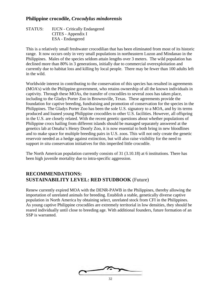### **Philippine crocodile,** *Crocodylus mindorensis*

STATUS: IUCN - Critically Endangered CITES - Appendix I ESA - Endangered

This is a relatively small freshwater crocodilian that has been eliminated from most of its historic range. It now occurs only in very small populations in northeastern Luzon and Mindanao in the Philippines. Males of the species seldom attain lengths over 3 meters. The wild population has declined more than 80% in 3 generations, initially due to commercial overexploitation and currently due to habitat loss and killing by local people. There may be fewer than 100 adults left in the wild.

Worldwide interest in contributing to the conservation of this species has resulted in agreements (MOA's) with the Philippine government, who retains ownership of all the known individuals in captivity. Through these MOAs, the transfer of crocodiles to several zoos has taken place, including to the Gladys Porter Zoo in Brownsville, Texas. These agreements provide the foundation for captive breeding, fundraising and promotion of conservation for the species in the Philippines. The Gladys Porter Zoo has been the sole U.S. signatory to a MOA, and by its terms produced and loaned young Philippine crocodiles to other U.S. facilities. However, all offspring in the U.S. are closely related. With the recent genetic questions about whether populations of Philippine crocs hailing from different islands should be managed separately answered at the genetics lab at Omaha's Henry Doorly Zoo, it is now essential to both bring in new bloodlines and to make space for multiple breeding pairs in U.S. zoos. This will not only create the genetic reservoir needed as a hedge against extinction, but will also raise visibility for the need to support *in situ* conservation initiatives for this imperiled little crocodile.

The North American population currently consists of 31 (3.10.18) at 6 institutions. There has been high juvenile mortality due to intra-specific aggression.

#### **RECOMMENDATIONS: SUSTAINABILITY LEVEL: RED STUDBOOK** (Future)

Renew currently expired MOA with the DENR-PAWB in the Philippines, thereby allowing the importation of unrelated animals for breeding. Establish a stable, genetically diverse captive population in North America by obtaining select, unrelated stock from CFI in the Philippines. As young captive Philippine crocodiles are extremely territorial in low densities, they should be reared individually until close to breeding age. With additional founders, future formation of an SSP is warranted.

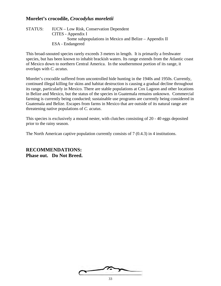### **Morelet's crocodile,** *Crocodylus moreletii*

STATUS: IUCN – Low Risk, Conservation Dependent CITES **-** Appendix I Some subpopulations in Mexico and Belize – Appendix II ESA - Endangered

This broad-snouted species rarely exceeds 3 meters in length. It is primarily a freshwater species, but has been known to inhabit brackish waters. Its range extends from the Atlantic coast of Mexico down to northern Central America. In the southernmost portion of its range, it overlaps with *C. acutus*.

Morelet's crocodile suffered from uncontrolled hide hunting in the 1940s and 1950s. Currently, continued illegal killing for skins and habitat destruction is causing a gradual decline throughout its range, particularly in Mexico. There are stable populations at Cox Lagoon and other locations in Belize and Mexico, but the status of the species in Guatemala remains unknown. Commercial farming is currently being conducted; sustainable use programs are currently being considered in Guatemala and Belize. Escapes from farms in Mexico that are outside of its natural range are threatening native populations of *C. acutus*.

This species is exclusively a mound nester, with clutches consisting of 20 - 40 eggs deposited prior to the rainy season.

The North American captive population currently consists of 7 (0.4.3) in 4 institutions.

**RECOMMENDATIONS: Phase out. Do Not Breed.**

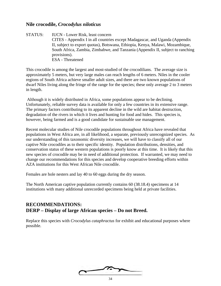#### **Nile crocodile,** *Crocodylus niloticus*

STATUS: IUCN - Lower Risk, least concern CITES - Appendix I in all countries except Madagascar, and Uganda (Appendix II, subject to export quotas), Botswana, Ethiopia, Kenya, Malawi, Mozambique, South Africa, Zambia, Zimbabwe, and Tanzania (Appendix II, subject to ranching provisions). ESA - Threatened

This crocodile is among the largest and most-studied of the crocodilians. The average size is approximately 5 meters, but very large males can reach lengths of 6 meters. Niles in the cooler regions of South Africa achieve smaller adult sizes, and there are two known populations of dwarf Niles living along the fringe of the range for the species; these only average 2 to 3 meters in length.

Although it is widely distributed in Africa, some populations appear to be declining. Unfortunately, reliable survey data is available for only a few countries in its extensive range. The primary factors contributing to its apparent decline in the wild are habitat destruction, degradation of the rivers in which it lives and hunting for food and hides. This species is, however, being farmed and is a good candidate for sustainable use management.

Recent molecular studies of Nile crocodile populations throughout Africa have revealed that populations in West Africa are, in all likelihood, a separate, previously unrecognized species. As our understanding of this taxonomic diversity increases, we will have to classify all of our captive Nile crocodiles as to their specific identity. Population distributions, densities, and conservation status of these western populations is poorly know at this time. It is likely that this new species of crocodile may be in need of additional protection. If warranted, we may need to change our recommendations for this species and develop cooperative breeding efforts within AZA institutions for this West African Nile crocodile.

Females are hole nesters and lay 40 to 60 eggs during the dry season.

The North American captive population currently contains 60 (38.18.4) specimens at 14 institutions with many additional unrecorded specimens being held at private facilities.

#### **RECOMMENDATIONS: DERP – Display of large African species – Do not Breed.**

Replace this species with *Crocodylus cataphractus* for exhibit and educational purposes where possible.

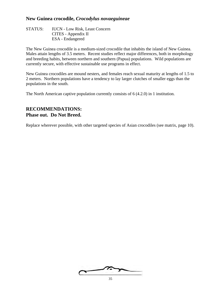#### **New Guinea crocodile,** *Crocodylus novaeguineae*

STATUS: IUCN - Low Risk, Least Concern CITES - Appendix II ESA - Endangered

The New Guinea crocodile is a medium-sized crocodile that inhabits the island of New Guinea. Males attain lengths of 3.5 meters. Recent studies reflect major differences, both in morphology and breeding habits, between northern and southern (Papua) populations. Wild populations are currently secure, with effective sustainable use programs in effect.

New Guinea crocodiles are mound nesters, and females reach sexual maturity at lengths of 1.5 to 2 meters. Northern populations have a tendency to lay larger clutches of smaller eggs than the populations in the south.

The North American captive population currently consists of 6 (4.2.0) in 1 institution.

## **RECOMMENDATIONS: Phase out. Do Not Breed.**

Replace wherever possible, with other targeted species of Asian crocodiles (see matrix, page 10).

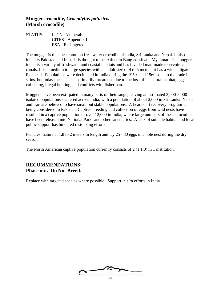#### **Mugger crocodile,** *Crocodylus palustris* **(Marsh crocodile)**

STATUS: IUCN - Vulnerable CITES - Appendix I ESA - Endangered

The mugger is the once common freshwater crocodile of India, Sri Lanka and Nepal. It also inhabits Pakistan and Iran. It is thought to be extinct in Bangladesh and Myanmar. The mugger inhabits a variety of freshwater and coastal habitats and has invaded man-made reservoirs and canals. It is a medium to large species with an adult size of 4 to 5 meters; it has a wide alligatorlike head. Populations were decimated in India during the 1950s and 1960s due to the trade in skins, but today the species is primarily threatened due to the loss of its natural habitat, egg collecting, illegal hunting, and conflicts with fisherman.

Muggers have been extirpated in many parts of their range, leaving an estimated 3,000-5,000 in isolated populations scattered across India, with a population of about 2,000 in Sri Lanka. Nepal and Iran are believed to have small but stable populations. A head-start recovery program is being considered in Pakistan. Captive breeding and collection of eggs from wild nests have resulted in a captive population of over 12,000 in India, where large numbers of these crocodiles have been released into National Parks and other sanctuaries. A lack of suitable habitat and local public support has hindered restocking efforts.

Females mature at 1.8 to 2 meters in length and lay 25 - 30 eggs in a hole nest during the dry season.

The North American captive population currently consists of  $2(1.1.0)$  in 1 institution.

## **RECOMMENDATIONS: Phase out. Do Not Breed.**

Replace with targeted species where possible. Support *in situ* efforts in India.

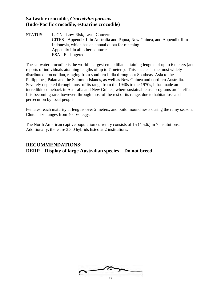#### **Saltwater crocodile,** *Crocodylus porosus* **(Indo-Pacific crocodile, estuarine crocodile)**

STATUS: IUCN - Low Risk, Least Concern CITES - Appendix II in Australia and Papua, New Guinea, and Appendix II in Indonesia, which has an annual quota for ranching. Appendix I in all other countries ESA - Endangered

The saltwater crocodile is the world's largest crocodilian, attaining lengths of up to 6 meters (and reports of individuals attaining lengths of up to 7 meters). This species is the most widely distributed crocodilian, ranging from southern India throughout Southeast Asia to the Philippines, Palau and the Solomon Islands, as well as New Guinea and northern Australia. Severely depleted through most of its range from the 1940s to the 1970s, it has made an incredible comeback in Australia and New Guinea, where sustainable use programs are in effect. It is becoming rare, however, through most of the rest of its range, due to habitat loss and persecution by local people.

Females reach maturity at lengths over 2 meters, and build mound nests during the rainy season. Clutch size ranges from 40 - 60 eggs.

The North American captive population currently consists of 15 (4.5.6.) in 7 institutions. Additionally, there are 3.3.0 hybrids listed at 2 institutions.

## **RECOMMENDATIONS: DERP – Display of large Australian species – Do not breed.**

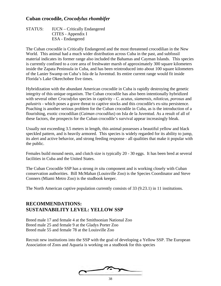## **Cuban crocodile,** *Crocodylus rhombifer*

| <b>STATUS:</b> | <b>IUCN</b> – Critically Endangered |
|----------------|-------------------------------------|
|                | CITES - Appendix I                  |
|                | ESA - Endangered                    |

The Cuban crocodile is Critically Endangered and the most threatened crocodilian in the New World. This animal had a much wider distribution across Cuba in the past, and subfossil material indicates its former range also included the Bahamas and Cayman Islands. This species is currently confined to a core area of freshwater marsh of approximately 300 square kilometers inside the Zapata Peninsula in Cuba, and has been reintroduced into about 100 square kilometers of the Lanier Swamp on Cuba's Isla de la Juventud. Its entire current range would fit inside Florida's Lake Okeechobee five times.

Hybridization with the abundant American crocodile in Cuba is rapidly destroying the genetic integrity of this unique organism. The Cuban crocodile has also been intentionally hybridized with several other *Crocodylus* species in captivity - *C*. *acutus, siamensis, niloticus, porosus* and *palustris* - which poses a grave threat to captive stocks and this crocodile's ex-situ persistence. Poaching is another serious problem for the Cuban crocodile in Cuba, as is the introduction of a flourishing, exotic crocodilian (*Caiman crocodilus*) on Isla de la Juventud. As a result of all of these factors, the prospects for the Cuban crocodile's survival appear increasingly bleak.

Usually not exceeding 3.5 meters in length, this animal possesses a beautiful yellow and black speckled pattern, and is heavily armored. This species is widely regarded for its ability to jump, its alert and active behavior, and strong feeding response - all qualities that make it popular with the public.

Females build mound nests, and clutch size is typically 20 - 30 eggs. It has been bred at several facilities in Cuba and the United States.

The Cuban Crocodile SSP has a strong *in situ* component and is working closely with Cuban conservation authorities. Bill McMahan (Louisville Zoo) is the Species Coordinator and Steve Conners (Miami Metro Zoo) is the studbook keeper.

The North American captive population currently consists of 33 (9.23.1) in 11 institutions.

## **RECOMMENDATIONS: SUSTAINABILITY LEVEL: YELLOW SSP**

Breed male 17 and female 4 at the Smithsonian National Zoo Breed male 25 and female 9 at the Gladys Porter Zoo Breed male 55 and female 78 at the Louisville Zoo

Recruit new institutions into the SSP with the goal of developing a Yellow SSP. The European Association of Zoos and Aquaria is working on a studbook for this species

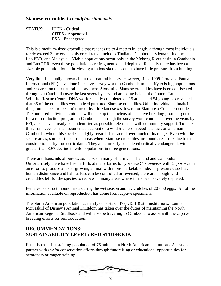#### **Siamese crocodile,** *Crocodylus siamensis*

STATUS: IUCN - Critical CITES - Appendix I ESA - Endangered

This is a medium-sized crocodile that reaches up to 4 meters in length, although most individuals rarely exceed 3 meters. Its historical range includes Thailand, Cambodia, Vietnam, Indonesia, Lao PDR, and Malaysia. Viable populations occur only in the Mekong River basin in Cambodia and Lao PDR; even these populations are fragmented and depleted. Recently there has been a sizeable population found in Mesangat Indonesia that seems to have little pressure from hunting.

Very little is actually known about their natural history. However, since 1999 Flora and Fauna International (FFI) have done intensive survey work in Cambodia to identify existing populations and research on their natural history there. Sixty-nine Siamese crocodiles have been confiscated throughout Cambodia over the last several years and are being held at the Phnom Tamao Wildlife Rescue Centre. DNA work recently completed on 15 adults and 54 young has revealed that 35 of the crocodiles were indeed purebred Siamese crocodiles. Other individual animals in this group appear to be a mixture of hybrid Siamese x saltwater or Siamese x Cuban crocodiles. The purebred individual animals will make up the nucleus of a captive breeding group targeted for a reintroduction program in Cambodia. Through the survey work conducted over the years by FFI, areas have already been identified as possible release site with community support. To-date there has never been a documented account of a wild Siamese crocodile attack on a human in Cambodia, where this species is highly regarded as sacred over much of its range. Even with the secure areas, some of the current areas where Siamese crocodiles are found are at risk due to the construction of hydroelectric dams. They are currently considered critically endangered, with greater than 80% decline in wild populations in three generations.

There are thousands of pure *C. siamensis* in many of farms in Thailand and Cambodia Unfortunately there have been efforts at many farms to hybridize *C. siamensis* with *C. porosus* in an effort to produce a faster growing animal with more marketable hide. If pressures, such as human disturbance and habitat loss can be controlled or reversed, there are enough wild crocodiles left for the species to recover in many areas where it has been severely depleted.

Females construct mound nests during the wet season and lay clutches of 20 - 50 eggs. All of the information available on reproduction has come from captive specimens.

The North American population currently consists of 37 (4.15.18) at 8 institutions. Lonnie McCaskill of Disney's Animal Kingdom has taken over the duties of maintaining the North American Regional Studbook and will also be traveling to Cambodia to assist with the captive breeding efforts for reintroduction.

## **RECOMMENDATIONS: SUSTAINABILITY LEVEL: RED STUDBOOK**

Establish a self-sustaining population of 75 animals in North American institutions. Assist and partner with *in-situ* conservation efforts through fundraising or educational opportunities for awareness or ranger training.

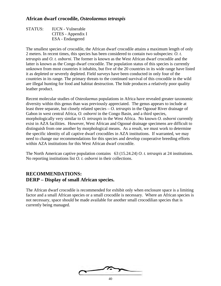### **African dwarf crocodile,** *Osteolaemus tetraspis*

STATUS: IUCN - Vulnerable CITES - Appendix I ESA - Endangered

The smallest species of crocodile, the African dwarf crocodile attains a maximum length of only 2 meters. In recent times, this species has been considered to contain two subspecies: *O. t. tetraspis* and *O. t. osborni*. The former is known as the West African dwarf crocodile and the latter is known as the Congo dwarf crocodile. The population status of this species is currently unknown from most countries it inhabits, but five of the 20 countries in its wide range have listed it as depleted or severely depleted. Field surveys have been conducted in only four of the countries in its range. The primary threats to the continued survival of this crocodile in the wild are illegal hunting for food and habitat destruction. The hide produces a relatively poor quality leather product.

Recent molecular studies of *Osteolaemus* populations in Africa have revealed greater taxonomic diversity within this genus than was previously appreciated. The genus appears to include at least three separate, but closely related species – *O. tetraspis* in the Ogooué River drainage of Gabon in west central Africa, *O. osborni* in the Congo Basin, and a third species, morphologically very similar to *O. tetraspis* in the West Africa. No known *O. osborni* currently exist in AZA facilities. However, West African and Ogooué drainage specimens are difficult to distinguish from one another by morphological means. As a result, we must work to determine the specific identity of all captive dwarf crocodiles in AZA institutions. If warranted, we may need to change our recommendations for this species and develop cooperative breeding efforts within AZA institutions for this West African dwarf crocodile.

The North American captive population contains 63 (15.24.24) *O. t. tetraspis* at 24 institutions. No reporting institutions list *O. t. osborni* in their collections.

## **RECOMMENDATIONS: DERP – Display of small African species.**

The African dwarf crocodile is recommended for exhibit only when enclosure space is a limiting factor and a small African species or a small crocodile is necessary. Where an African species is not necessary, space should be made available for another small crocodilian species that is currently being managed.

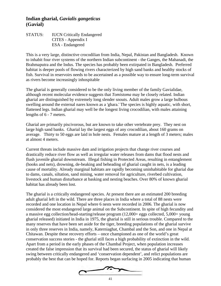#### **Indian gharial,** *Gavialis gangeticus* **(Gavial)**

#### STATUS: IUCN Critically Endangered CITES - Appendix I ESA - Endangered

This is a very large, distinctive crocodilian from India, Nepal, Pakistan and Bangladesh. Known to inhabit four river systems of the northern Indian subcontinent - the Ganges, the Mahanadi, the Brahmaputra and the Indus. The species has probably been extirpated in Bangladesh. Preferred habitat is deeper pools of flowing rivers characterized by high sand banks and healthy stocks of fish. Survival in reservoirs needs to be ascertained as a possible way to ensure long-term survival as rivers become increasingly inhospitable

The gharial is generally considered to be the only living member of the family Gavialidae, although recent molecular evidence suggests that *Tomistoma* may be closely related. Indian gharial are distinguished by extremely long slender snouts. Adult males grow a large bulbous swelling around the external nares known as a 'ghara.' The species is highly aquatic, with short, flattened legs. Indian gharial may well be the longest living crocodilian, with males attaining lengths of 6 - 7 meters.

Gharial are primarily piscivorous, but are known to take other vertebrate prey. They nest on large high sand banks. Gharial lay the largest eggs of any crocodilian, about 160 grams on average. Thirty to 50 eggs are laid in hole nests. Females mature at a length of 3 meters; males at almost 4 meters.

Current threats include massive dam and irrigation projects that change river courses and drastically reduce river flow as well as irregular water releases from dams that flood nests and flush juvenile gharial downstream. Illegal fishing in Protected Areas, resulting in entanglement (hooks and nets), drowning, de-beaking and beheading of gharial caught in nets, is a leading cause of mortality. Already marginal habitats are rapidly becoming uninhabitable for gharial due to dams, canals, siltation, sand mining, water removal for agriculture, riverbed cultivation, livestock and human disturbance at basking and nesting beaches. Over 80% of known gharial habitat has already been lost.

The gharial is a critically endangered species. At present there are an estimated 200 breeding adult gharial left in the wild. There are three places in India where a total of 88 nests were recorded and one location in Nepal where 6 nests were recorded in 2006. The gharial is now considered the most endangered large animal on the Subcontinent. In spite of high fecundity and a massive egg collection/head-starting/release program (12,000+ eggs collected, 5,000+ young gharial released) initiated in India in 1975, the gharial is still in serious trouble. Compared to the many reserves that have been set aside for the tiger, breeding populations of the gharial survive in only three reserves in India, namely, Katerniaghat, Chambal and the Son, and one in Nepal at Chitawan. Despite these recovery efforts – once championed as one of the world's great conservation success stories - the gharial still faces a high probability of extinction in the wild. Apart from a period in the early phases of the Chambal Project, when population increases created the false impression that its survival had been secured, the status of gharial will likely swing between critically endangered and 'conservation dependent', and relict populations are probably the best that can be hoped for. Reports began surfacing in 2005 indicating that human

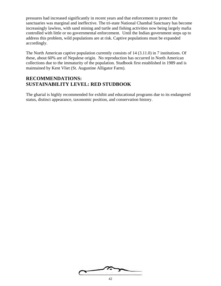pressures had increased significantly in recent years and that enforcement to protect the sanctuaries was marginal and ineffective. The tri-state National Chambal Sanctuary has become increasingly lawless, with sand mining and turtle and fishing activities now being largely mafia controlled with little or no governmental enforcement. Until the Indian government steps up to address this problem, wild populations are at risk. Captive populations must be expanded accordingly.

The North American captive population currently consists of 14 (3.11.0) in 7 institutions. Of these, about 60% are of Nepalese origin. No reproduction has occurred in North American collections due to the immaturity of the population. Studbook first established in 1989 and is maintained by Kent Vliet (St. Augustine Alligator Farm).

#### **RECOMMENDATIONS: SUSTAINABILITY LEVEL: RED STUDBOOK**

The gharial is highly recommended for exhibit and educational programs due to its endangered status, distinct appearance, taxonomic position, and conservation history.

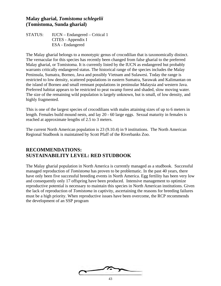#### **Malay gharial,** *Tomistoma schlegelii* **(Tomistoma, Sunda gharial)**

STATUS: IUCN – Endangered – Critical 1 CITES - Appendix I ESA - Endangered

The Malay gharial belongs to a monotypic genus of crocodilian that is taxonomically distinct. The vernacular for this species has recently been changed from false gharial to the preferred Malay gharial, or Tomistoma. It is currently listed by the IUCN as endangered but probably warrants critically endangered status. The historical range of the species includes the Malay Peninsula, Sumatra, Borneo, Java and possibly Vietnam and Sulawesi. Today the range is restricted to low density, scattered populations in eastern Sumatra, Sarawak and Kalimantan on the island of Borneo and small remnant populations in peninsular Malaysia and western Java. Preferred habitat appears to be restricted to peat swamp forest and shaded, slow moving water. The size of the remaining wild population is largely unknown, but is small, of low density, and highly fragmented.

This is one of the largest species of crocodilians with males attaining sizes of up to 6 meters in length. Females build mound nests, and lay 20 - 60 large eggs. Sexual maturity in females is reached at approximate lengths of 2.5 to 3 meters.

The current North American population is 23 (9.10.4) in 9 institutions. The North American Regional Studbook is maintained by Scott Pfaff of the Riverbanks Zoo.

## **RECOMMENDATIONS: SUSTAINABILITY LEVEL: RED STUDBOOK**

The Malay gharial population in North America is currently managed as a studbook. Successful managed reproduction of *Tomistoma* has proven to be problematic. In the past 40 years, there have only been five successful breeding events in North America. Egg fertility has been very low and consequently only 17 offspring have been produced. Intensive management to optimize reproductive potential is necessary to maintain this species in North American institutions. Given the lack of reproduction of *Tomistoma* in captivity, ascertaining the reasons for breeding failures must be a high priority. When reproductive issues have been overcome, the RCP recommends the development of an SSP program

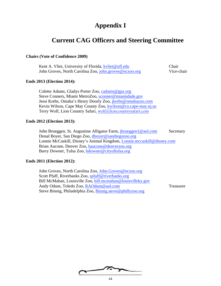# **Appendix I**

# **Current CAG Officers and Steering Committee**

#### **Chairs (Vote of Confidence 2009)**

| Kent A. Vliet, University of Florida, kvliet@ufl.edu   | Chair      |
|--------------------------------------------------------|------------|
| John Groves, North Carolina Zoo, john.groves@nczoo.org | Vice-chair |

#### **Ends 2013 (Election 2014):**

Colette Adams, Gladys Porter Zoo, cadams@gpz.org Steve Conners, Miami MetroZoo, sconner@miamidade.gov Jessi Krebs, Omaha's Henry Doorly Zoo, jkrebs@omahazoo.com Kevin Wilson, Cape May County Zoo, kwilson@co.cape-may.nj.us Terry Wolf, Lion Country Safari, wolf@lioncountrysafari.com

#### **Ends 2012 (Election 2013):**

John Brueggen, St. Augustine Alligator Farm, *jbrueggen1@aol.com* Secretary Donal Boyer, San Diego Zoo, dboyer@sandiegozoo.org Lonnie McCaskill, Disney's Animal Kingdom, Lonnie.mccaskill@disney.com Brian Aucone, Denver Zoo, baucone@denverzoo.org Barry Downer, Tulsa Zoo, bdowner@cityoftulsa.org

#### **Ends 2011 (Election 2012):**

John Groves, North Carolina Zoo, John.Groves@nczoo.org Scott Pfaff, Riverbanks Zoo, spfaff@riverbanks.org Bill McMahan, Louisville Zoo, bill.mcmahan@louisvilleky.gov Andy Odum, Toledo Zoo, RAOdum@aol.com Treasurer Steve Binnig, Philadelphia Zoo, Binnig.steve@phillyzoo.org

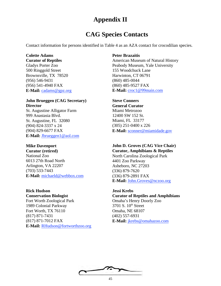# **Appendix II**

# **CAG Species Contacts**

Contact information for persons identified in Table 4 as an AZA contact for crocodilian species.

### **Colette Adams**

**Curator of Reptiles** 

Gladys Porter Zoo 500 Ringgold Street Brownsville, TX 78520 (956) 546-9431 (956) 541-4940 FAX **E-Mail:** cadams@gpz.org

#### **John Brueggen (CAG Secretary) Director**

St. Augustine Alligator Farm 999 Anastasia Blvd. St. Augustine, FL 32080 (904) 824-3337 x 24 (904) 829-6677 FAX **E-Mail:** Jbrueggen1@aol.com

#### **Mike Davenport**

**Curator (retired)** National Zoo 6013 27th Road North Arlington, VA 22207 (703) 533-7443 **E-Mail:** michaeld@webbox.com

**Rick Hudson**

**Conservation Biologist** Fort Worth Zoological Park 1989 Colonial Parkway Fort Worth, TX 76110 (817) 871-7431 (817) 871-7012 FAX **E-Mail:** RHudson@fortworthzoo.org

#### **Peter Brazaitis**

American Museum of Natural History Peabody Museum, Yale University 155 Woodchuck Lane Harwinton, CT 06791 (860) 485-0044 (860) 485-9527 FAX **E-Mail:** croc1@99main.com

**Steve Conners General Curator** Miami Metrozoo 12400 SW 152 St. Miami, FL 33177 (305) 251-0400 x 226 **E-Mail:** sconner@miamidade.gov

### **John D. Groves (CAG Vice Chair)**

**Curator, Amphibians & Reptiles** North Carolina Zoological Park 4401 Zoo Parkway Asheboro, NC 27203 (336) 879-7620 (336) 879-2891 FAX **E-Mail:** John.Groves@nczoo.org

**Jessi Krebs Curator of Reptiles and Amphibians** Omaha's Henry Doorly Zoo 3701 S. 10<sup>th</sup> Street Omaha, NE 68107 (402) 557-6931 **E-Mail:** jkrebs@omahazoo.com

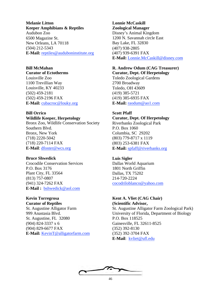#### **Melanie Litton Keeper Amphibians & Reptiles**

Audubon Zoo 6500 Magazine St. New Orleans, LA 70118 (504) 212-5343 **E-Mail:** reptiles@auduboninstitute.org

#### **Bill McMahan**

#### **Curator of Ectotherms**

Louisville Zoo 1100 Trevillian Way Louisville, KY 40233 (502) 459-2181 (502) 459-2196 FAX **E-Mail:** cubacroc@louky.org

#### **Bill Orrico Wildlife Keeper, Herpetology**

Bronx Zoo, Wildlife Conservation Society Southern Blvd. Bronx, New York (718) 2220-5042 (718) 220-7114 FAX **E-Mail**: dfoster@wcs.org

#### **Bruce Shwedick**

Crocodile Conservation Services P.O. Box 3176 Plant City, FL 33564 (813) 757-0807 (941) 324-7262 FAX **E-Mail :** bshwedick@aol.com

#### **Kevin Torregrosa Curator of Reptiles**

St. Augustine Alligator Farm 999 Anastasia Blvd. St. Augustine, FL 32080 (904) 824-3337 x 6 (904) 829-6677 FAX **E-Mail:** KevinT@alligatorfarm.com

#### **Lonnie McCaskill Zoological Manager** Disney's Animal Kingdom 1200 N. Savannah circle East

Bay Lake, FL 32830 (407) 938-2805 (407) 939-6391 FAX **E-Mail:** Lonnie.McCaskill@disney.com

#### **R. Andrew Odum (CAG Treasurer) Curator, Dept. Of Herpetology**

Toledo Zoological Gardens 2700 Broadway Toledo, OH 43609 (419) 385-5721 (419) 385-6935 FAX **E-Mail:** raodum@ao1.com

#### **Scott Pfaff**

# **Curator, Dept. Of Herpetology**

Riverbanks Zoological Park P.O. Box 1060 Columbia, SC 29202 (803) 779-8717 x 1119 (803) 253-6381 FAX **E-Mail:** spfaff@riverbanks.org

#### **Luis Sigler**

Dallas World Aquarium 1801 North Griffin Dallas, TX 75202 214-720-2224 cocodriloblanco@yahoo.com

#### **Kent A. Vliet (CAG Chair) (Scientific Advisor,**

St. Augustine Alligator Farm Zoological Park) University of Florida, Department of Biology P.O. Box 118525 Gainesville, FL 32611-8525 (352) 392-8130 (352) 392-3704 FAX **E-Mail**: kvliet@ufl.edu

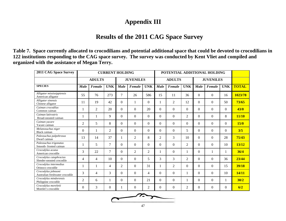# **Appendix III**

# **Results of the 2011 CAG Space Survey**

**Table 7. Space currently allocated to crocodilians and potential additional space that could be devoted to crocodilians in 122 institutions responding to the CAG space survey. The survey was conducted by Kent Vliet and compiled and organized with the assistance of Megan Terry.**

| 2011 CAG Space Survey                                  | <b>CURRENT HOLDING</b> |                |                |                  |                | POTENTIAL ADDITIONAL HOLDING |                |                  |                |                  |          |            |              |
|--------------------------------------------------------|------------------------|----------------|----------------|------------------|----------------|------------------------------|----------------|------------------|----------------|------------------|----------|------------|--------------|
|                                                        | <b>ADULTS</b>          |                |                | <b>JUVENILES</b> |                |                              | <b>ADULTS</b>  |                  |                | <b>JUVENILES</b> |          |            |              |
| <b>SPECIES</b>                                         | <b>Male</b>            | Female         | <b>UNK</b>     | <b>Male</b>      | Female         | <b>UNK</b>                   | <b>Male</b>    | Female           | <b>UNK</b>     | Male             | Female   | <b>UNK</b> | <b>TOTAL</b> |
| Alligator mississippiensis<br>American alligator       | 55                     | 76             | 273            | 7                | 26             | 586                          | 15             | 11               | 36             | $\Omega$         | $\Omega$ | 16         | 1023/78      |
| Alligator sinensis<br>Chinese alligator                | 11                     | 19             | 42             | $\mathbf{0}$     |                | $\overline{0}$               | 1              | $\overline{2}$   | 12             | $\Omega$         | $\Omega$ | 50         | 73/65        |
| Caiman crocodilus<br>Common caiman                     | 1                      | $\overline{2}$ | 20             | $\overline{0}$   | $\Omega$       | 20                           | $\Omega$       | $\Omega$         | $\theta$       | $\Omega$         | $\Omega$ | $\Omega$   | 43/0         |
| Caiman latirostris<br>Broad-snouted caiman             | 1                      | 1              | 9              | $\Omega$         | $\theta$       | $\Omega$                     | $\Omega$       | $\Omega$         | 2              | $\Omega$         | $\Omega$ | 8          | 11/10        |
| Caiman yacare<br>Yacare caiman                         | $\overline{2}$         | 5              | 8              | $\Omega$         | $\theta$       | $\Omega$                     | $\Omega$       | $\Omega$         | $\theta$       | $\Omega$         | $\Omega$ | $\Omega$   | 15/0         |
| Melanosuchus niger<br><b>Black</b> caiman              | $\Omega$               | 1              | $\overline{2}$ | $\Omega$         | $\Omega$       | $\Omega$                     | $\Omega$       | $\Omega$         | 5              | $\Omega$         | $\Omega$ | $\Omega$   | 3/5          |
| Paleosuchus palpebrosus<br>Dwarf caiman                | 13                     | 14             | 37             | 1                | 2              | 8                            | $\overline{2}$ | 3                | 10             | $\Omega$         | $\Omega$ | 28         | 75/43        |
| Paleosuchus trigonatus<br>Smooth-fronted caiman        |                        | 5              | $\overline{7}$ | $\theta$         | $\theta$       | $\Omega$                     | $\Omega$       | $\Omega$         | 2              | $\Omega$         | $\Omega$ | 10         | 13/12        |
| Crocodylus acutus<br>American crocodile                | 3                      | 22             | $\overline{7}$ | $\Omega$         | $\overline{2}$ | $\overline{2}$               | 1              | $\overline{0}$   | 1              | $\Omega$         |          | 1          | 36/4         |
| Crocodylus cataphractus<br>Slender-snouted crocodile   | $\overline{4}$         | $\overline{4}$ | 10             | $\Omega$         | $\theta$       | 5                            | 3              | 3                | $\overline{2}$ | $\Omega$         | $\Omega$ | 36         | 23/44        |
| Crocodylus intermedius<br>Orinoco crocodile            |                        | 1              | $\overline{4}$ | $\overline{c}$   | $\Omega$       | 31                           | 1              | $\overline{2}$   | $\theta$       | $\Omega$         | $\Omega$ | 15         | 39/18        |
| Crocodylus johnsoni<br>Australian freshwater crocodile | 3                      | $\overline{4}$ | 3              | $\mathbf{0}$     | $\Omega$       | $\overline{4}$               | $\Omega$       | $\boldsymbol{0}$ | $\mathbf{1}$   | $\Omega$         | $\Omega$ | 10         | 14/11        |
| Crocodylus mindorensis<br>Philippine crocodile         | $\overline{2}$         | 6              | 1              | $\Omega$         | $\Omega$       | 21                           | $\Omega$       | $\Omega$         | 1              | $\Omega$         | $\Omega$ | 1          | 30/2         |
| Crocodylus moreletii<br>Morelet's crocodile            | $\Omega$               | 3              | $\theta$       | 1                | $\Omega$       | 2                            | $\Omega$       | $\Omega$         | $\overline{2}$ | $\Omega$         | $\Omega$ | $\Omega$   | 6/2          |

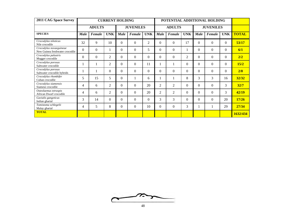| 2011 CAG Space Survey                                      | <b>CURRENT HOLDING</b> |               |                |                  |          |                | POTENTIAL ADDITIONAL HOLDING |                  |                  |             |          |            |              |
|------------------------------------------------------------|------------------------|---------------|----------------|------------------|----------|----------------|------------------------------|------------------|------------------|-------------|----------|------------|--------------|
|                                                            |                        | <b>ADULTS</b> |                | <b>JUVENILES</b> |          |                | <b>ADULTS</b>                |                  | <b>JUVENILES</b> |             |          |            |              |
| <b>SPECIES</b>                                             | <b>Male</b>            | Female        | <b>UNK</b>     | <b>Male</b>      | Female   | <b>UNK</b>     | <b>Male</b>                  | Female           | <b>UNK</b>       | <b>Male</b> | Female   | <b>UNK</b> | <b>TOTAL</b> |
| Crocodylus niloticus<br>Nile crocodile                     | 32                     | 9             | 10             | $\overline{0}$   | $\Omega$ | $\overline{c}$ | $\Omega$                     | $\boldsymbol{0}$ | 17               | $\Omega$    | $\Omega$ | $\Omega$   | 53/17        |
| Crocodylus novaeguineae<br>New Guinea freshwater crocodile | $\Omega$               | $\Omega$      | I              | $\overline{0}$   | $\Omega$ | 5              | $\Omega$                     | $\overline{0}$   |                  | $\Omega$    | $\Omega$ | $\theta$   | 6/1          |
| Crocodylus palustris<br>Mugger crocodile                   | $\theta$               | $\theta$      | 2              | $\boldsymbol{0}$ | $\Omega$ | $\Omega$       | $\Omega$                     | $\boldsymbol{0}$ | 2                | $\Omega$    | $\Omega$ | $\theta$   | 2/2          |
| Crocodylus porosus<br>Saltwater crocodile                  |                        | 1             | $\overline{2}$ | $\Omega$         | $\Omega$ | 11             |                              | -1               | $\Omega$         | $\Omega$    | $\Omega$ | $\Omega$   | 15/2         |
| Crocodylus porosus<br>Saltwater crocodile hybrids          |                        | 1             | $\Omega$       | $\Omega$         | $\Omega$ | $\Omega$       | $\Omega$                     | $\Omega$         | 0                | $\Omega$    | $\Omega$ | $\theta$   | 2/0          |
| Crocodylus rhombifer<br>Cuban crocodile                    | 5                      | 15            | 5              | $\boldsymbol{0}$ |          | 6              | 1                            | 1                | 8                | 3           | 3        | 16         | 32/32        |
| Crocodylus siamensis<br>Siamese crocodile                  | 4                      | 6             | 2              | $\overline{0}$   | $\Omega$ | 20             | $\overline{2}$               | 2                | 0                | $\Omega$    | $\Omega$ | 3          | 32/7         |
| Osteolaemus tetraspis<br>African Dwarf crocodile           | 4                      | 6             | $\overline{2}$ | $\Omega$         | $\Omega$ | 20             | 2                            | 2                | 0                | $\Omega$    | $\Omega$ | 3          | 42/19        |
| Gavialis gangeticus<br>Indian gharial                      | 3                      | 14            | $\Omega$       | $\overline{0}$   | $\Omega$ | $\Omega$       | 3                            | 3                | 0                | $\Omega$    | $\Omega$ | 20         | 17/26        |
| Tomistoma schlegelii<br>Malay gharial                      | 4                      | 5             | 8              | $\overline{0}$   | $\Omega$ | 10             | $\Omega$                     | $\overline{0}$   | 3                |             |          | 29         | 27/34        |
| <b>TOTAL</b>                                               |                        |               |                |                  |          |                |                              |                  |                  |             |          |            | 1632/434     |